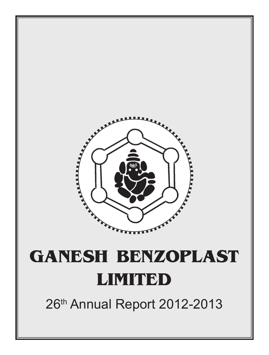

# **GANESH BENZOPLAST LIMITED**

26<sup>th</sup> Annual Report 2012-2013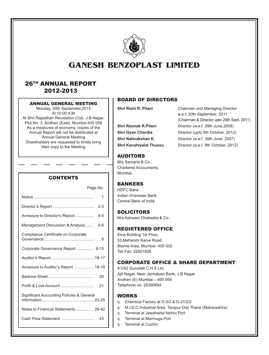

# **GANESH BENZOPLAST LIMITED**

### 26TH ANNUAL REPORT 2012-2013

#### ANNUAL GENERAL MEETING

Monday, 30th September,2013 At 10.00 A.M. At Shri.Rajasthan Recreation Club, J.B.Nagar, Plot No. 3, Andheri (East), Mumbai-400 059 As a measures of economy, copies of the Annual Report will not be distributed at Annual General Meeting Shareholders are requested to kindly bring their copy to the Meeting

#### **CONTENTS**

| Page No.                                    |
|---------------------------------------------|
| 1                                           |
| $2 - 3$                                     |
| Annexure to Director's Report<br>$4 - 5$    |
| Management Discussion & Analysis<br>$6 - 8$ |
| Compliance Certificate on Corporate<br>8    |
|                                             |
|                                             |
| Annexure to Auditor's Report  18-19         |
| 20                                          |
| 21                                          |
| Significant Accounting Policies & General   |
| Notes to Financial Statements 26-42         |
| 43                                          |
|                                             |

#### BOARD OF DIRECTORS

**Shri Rishi R. Pilani** Chairman and Managing Director

# AUDITORS

M/s Samaria & Co., Chartered Accountants, Mumbai,

#### BANKERS

HDFC Bank Indian Overseas Bank Central Bank of India

SOLICITORS M/s Ashwani Dhatwalia & Co.

#### REGISTERED OFFICE

Dina Building 1st Floor, 53,Maharshi Karve Road, Marine lines, Mumbai- 400 002. Teli Fax: 22001928.

#### CORPORATE OFFICE & SHARE DEPARTMENT

A1/A2 Gurudatt C.H.S Ltd, Ajit Nagar, Near Jankalyan Bank, J.B.Nagar Andheri (E) Mumbai – 400 059 Telephone no. 28390694

#### WORKS

- q Chemical Factory at D-5/2 & D-21/2/2
- q M.I.D.C Industrial Area, Tarapur Dist Thane (Maharashtra)
- **q** Terminal at Jawaharlal Nehru Port
- **q** Terminal at Marmuga Port
- **q** Terminal at Cochin

w.e.f. 30th September, 2011 (Chairman & Director upto 29th Sept, 2011) **Shri Raunak R.Pilani** Director (w.e.f. 28th June,2008) **Shri Gyan Chordia Director** (upto 9th October, 2012) **Shri Nalinakshan K. Director (w.e.f. 30th June, 2007) Shri Kanahiyalal Thussu** Director (w.e.f. 9th October, 2012)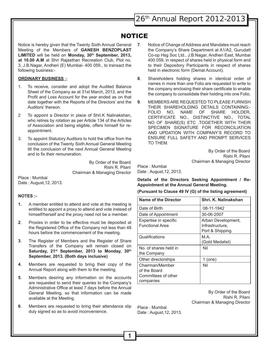26th Annual Report 2012-2013

### NOTICE

Notice is hereby given that the Twenty Sixth Annual General Meeting of the Members of **GANESH BENZOPLAST LIMITED** will be held on **Monday, 30th September, 2013, at 10.00 A.M** at Shri Rajasthan Recreation Club, Plot no. 3, J.B.Nagar, Andheri (E) Mumbai- 400 059., to transact the following business:-

#### **ORDINARY BUSINESS** :-

- 1. To receive, consider and adopt the Audited Balance Sheet of the Company as at 31st March, 2013, and the Profit and Loss Account for the year ended as on that date together with the Reports of the Directors' and the Auditors' thereon.
- 2 To appoint a Director in place of Shri.K Nalinakshan, who retires by rotation as per Article 134 of the Articles of Association and being eligible, offers himself for reappointment.
- 3. To appoint Statutory Auditors to hold the office from the conclusion of the Twenty Sixth Annual General Meeting till the conclusion of the next Annual General Meeting and to fix their remuneration.

 By Order of the Board Rishi R. Pilani Chairman & Managing Director

Place : Mumbai Date : August,12, 2013.

#### **NOTES :-**

- **1.** A member entitled to attend and vote at the meeting is entitled to appoint a proxy to attend and vote instead of himself/herself and the proxy need not be a member.
- **2**. Proxies in order to be effective must be deposited at the Registered Office of the Company not less than 48 hours before the commencement of the meeting.
- **3**. The Register of Members and the Register of Share Transfers of the Company will remain closed on Saturday, 21<sup>st</sup> September, 2013 to Monday, 30<sup>th</sup> **September, 2013. (Both days inclusive)**
- **4**. Members are requested to bring their copy of the Annual Report along with them to the meeting.
- **5**. Members desiring any information on the accounts are requested to send their queries to the Company's Administrative Office at least 7 days before the Annual General Meeting, so that information can be made available at the Meeting.
- **6**. Members are requested to bring their attendance slip duly signed so as to avoid inconvenience.
- **7**. Notice of Change of Address and Mandates must reach the Company's Share Department at A1/A2, Gurudatt Co-op Hsg Soc Ltd., J.B.Nagar, Andheri East, Mumbai 400 059, in respect of shares held in physical form and to their Depository Participants in respect of shares held in electronic form (Demat Account).
	- **8**. Shareholders holding shares in identical order of names in more than one Folio are requested to write to the company enclosing their share certificate to enable the company to consolidate their holding into one Folio.
- **9**. MEMBERS ARE REQUESTED TO PLEASE FURNISH THEIR SHAREHOLDING DETAILS CONTAINING:- FOLIO NO, NAME OF SHARE HOLDER, CERTIFICATE NO., DISTINCTIVE NO., TOTAL NO OF SHARE(S) ETC .TOGETHER WITH THEIR SPECIMEN SIGNATURE FOR RECONCILIATION AND UPDATION WITH COMPANY'S RECORD TO ENSURE FULL SAFETY AND PROMPT SERVICES TO THEM.

 By Order of the Board Rishi R. Pilani Chairman & Managing Director

Place : Mumbai Date : August,12, 2013.

**Details of the Directors Seeking Appointment / Re-Appointment at the Annual General Meeting.**

**(Pursuant to Clause 49 IV (G) of the listing agreement)**

| Name of the Director                                                | Shri, K. Nalinakshan                                      |
|---------------------------------------------------------------------|-----------------------------------------------------------|
| Date of Birth                                                       | 08-11-1942                                                |
| Date of Appointment                                                 | 30-06-2007                                                |
| Expertise in specific<br><b>Functional Area</b>                     | Arban Development,<br>Infrastructure.<br>Port & Shipping. |
| Qualifications                                                      | M A<br>(Gold Medalist)                                    |
| No. of shares held in<br>the Company                                | Nil                                                       |
| Other directorships                                                 | $1$ (one)                                                 |
| Chairman/Member<br>of the Board<br>Committees of other<br>companies | Nil                                                       |

 By Order of the Board Rishi R. Pilani Chairman & Managing Director

Place : Mumbai Date : August,12, 2013.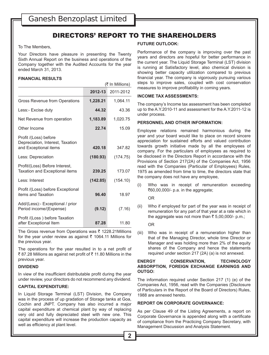# DIRECTORS' REPORT TO THE SHAREHOLDERS

 $\sim$   $\sim$   $\sim$   $\sim$ 

#### To The Members,

Your Directors have pleasure in presenting the Twenty Sixth Annual Report on the business and operations of the Company together with the Audited Accounts for the year ended March 31, 2013.

#### **FINANCIAL RESULTS**

|                                                                                    |          | (र In Millions) |
|------------------------------------------------------------------------------------|----------|-----------------|
|                                                                                    | 2012-13  | 2011-2012       |
| Gross Revenue from Operations                                                      | 1,228.21 | 1,064.11        |
| Less:- Excise duty                                                                 | 44.32    | 43.36           |
| Net Revenue from operation                                                         | 1,183.89 | 1,020.75        |
| Other Income                                                                       | 22.74    | 15.09           |
| Profit /(Loss) before<br>Depreciation, Interest, Taxation<br>and Exceptional items | 420.18   | 347.82          |
| Less: Depreciation                                                                 | (180.93) | (174.75)        |
| Profit/(Loss) Before Interest,<br>Taxation and Exceptional items                   | 239.25   | 173.07          |
| Less: Interest                                                                     | (142.85) | (154.10)        |
| Profit /(Loss) before Exceptional<br>items and Taxation                            | 96.40    | 18.97           |
| Add/(Less):- Exceptional / prior<br>Period income/(Expense)                        | (9.12)   | (7.16)          |
| Profit /(Loss) before Taxation<br>after Exceptional Item                           | 87.28    | 11.80           |

The Gross revenue from Operations was  $\bar{\tau}$  1228.21 Millions for the year under review as against  $\bar{\tau}$  1064.11 Millions for the previous year.

The operations for the year resulted in to a net profit of ₹87.28 Millions as against net profit of ₹11.80 Millions in the previous year.

#### **DIVIDEND**

In view of the insufficient distributable profit during the year under review, your directors do not recommend any dividend.

#### **CAPITAL EXPENDITURE:**

In Liquid Storage Terminal (LST) Division, the Company was in the process of up gradation of Storage tanks at Goa, Cochin and JNPT. Company has also incurred a major capital expenditure at chemical plant by way of replacing very old and fully depreciated steel with new one. This capital expenditure will increase the production capacity as well as efficiency at plant level.

#### **FUTURE OUTLOOK:**

Performance of the company is improving over the past years and directors are hopeful for better performance in the current year. The Liquid Storage Terminal (LST) division is running at Satisfactory level, also chemical division is showing better capacity utilization compared to previous financial year. The company is vigorously pursuing various steps to improve sales, coupled with cost conservation measures to improve profitability in coming years.

#### **INCOME TAX ASSESSMENTS:**

The company's Income tax assessment has been completed up to the A.Y.2010-11 and assessment for the A.Y.2011-12 is under process.

#### **PERSONNEL AND OTHER INFORMATION:**

Employee relations remained harmonious during the year and your board would like to place on record sincere appreciation for sustained efforts and valued contribution towards growth initiative made by all the employees of company. For the particulars of employees as required to be disclosed in the Directors Report in accordance with the Provisions of Section 217(2A) of the Companies Act, 1956 read with the Companies (Particular of Employees) Rules, 1975 as amended from time to time, the directors state that the company does not have any employee,

(i) Who was in receipt of remuneration exceeding ₹60,00,000/- p.a. in the aggregate;

OR

(ii) Who if employed for part of the year was in receipt of remuneration for any part of that year at a rate which in the aggregate was not more than  $\bar{\tau}$  5,00,000/- p.m.;

OR

(iii) Who was in receipt of a remuneration higher than that of the Managing Director, whole time Director or Manager and was holding more than 2% of the equity shares of the Company and hence the statements required under section 217 (2A) (a) is not annexed.

#### **ENERGY CONSERVATION, TECHNOLOGY ABSORPTION, FOREIGN EXCHANGE EARNINGS AND OUTGO:**

The information required under Section 217 (1) (e) of the Companies Act, 1956, read with the Companies (Disclosure of Particulars in the Report of the Board of Directors) Rules, 1988 are annexed hereto.

#### **REPORT ON CORPORATE GOVERNANCE:**

As per Clause 49 of the Listing Agreements, a report on Corporate Governance is appended along with a certificate of compliance from the Practicing Company Secretary, with Management Discussion and Analysis Statement.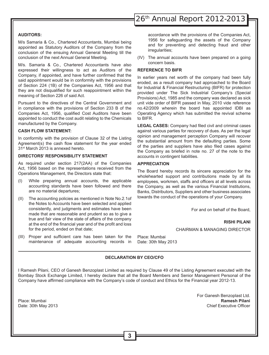#### **AUDITORS:**

M/s Samaria & Co., Chartered Accountants, Mumbai being appointed as Statutory Auditors of the Company from the conclusion of the ensuing Annual General Meeting till the conclusion of the next Annual General Meeting.

M/s. Samaria & Co., Chartered Accountants have also expressed their willingness to act as Auditors of the Company, if appointed, and have further confirmed that the said appointment would be in conformity with the provisions of Section 224 (1B) of the Companies Act, 1956 and that they are not disqualified for such reappointment within the meaning of Section 226 of said Act.

Pursuant to the directives of the Central Government and in compliance with the provisions of Section 233 B of the Companies Act, 1956, qualified Cost Auditors have been appointed to conduct the cost audit relating to the Chemicals manufactured by the Company.

#### **CASH FLOW STATEMENT:**

In conformity with the provision of Clause 32 of the Listing Agreement(s) the cash flow statement for the year ended 31st March 2013 is annexed hereto.

#### **DIRECTORS' RESPONSIBILITY STATEMENT**

As required under section 217(2AA) of the Companies Act, 1956 based on the representations received from the Operations Management, the Directors state that:

- (I) While preparing annual accounts, the applicable accounting standards have been followed and there are no material departures;
- (II) The accounting policies as mentioned in Note No.2.1of the Notes to Accounts have been selected and applied consistently, and judgments and estimates have been made that are reasonable and prudent so as to give a true and fair view of the state of affairs of the company at the end of the financial year and of the profit and loss for the period, ended on that date;
- (III) Proper and sufficient care has been taken for the maintenance of adequate accounting records in

accordance with the provisions of the Companies Act, 1956 for safeguarding the assets of the Company and for preventing and detecting fraud and other irregularities;

(IV) The annual accounts have been prepared on a going concern basis.

#### **REFERENCE TO BIFR**

In earlier years net worth of the company had been fully eroded, as a result company had approached to the Board for Industrial & Financial Restructuring (BIFR) for protection provided under The Sick Industrial Company's (Special Provisions) Act, 1985 and the company was declared as sick unit vide order of BIFR passed in May, 2010 vide reference no.42/2009 wherein the board has appointed IDBI as Operating Agency which has submitted the revival scheme to BIFR.

**LEGAL CASES:** Company had filed civil and criminal cases against various parties for recovery of dues. As per the legal opinion and management perception Company will recover the substantial amount from the defaulting parties. Some of the parties and suppliers have also filed cases against the Company as briefed in note no. 27 of the note to the accounts in contingent liabilities.

#### **APPRECIATION**

The Board hereby records its sincere appreciation for the wholehearted support and contributions made by all its employees, workmen, staffs and officers at all levels across the Company, as well as the various Financial Institutions, Banks, Distributors, Suppliers and other business associates towards the conduct of the operations of your Company.

For and on behalf of the Board,

**RISHI PILANI**

CHAIRMAN & MANAGING DIRECTOR

Place: Mumbai Date: 30th May 2013

#### **DECLARATION BY CEO/CFO**

I Ramesh Pilani, CEO of Ganesh Benzoplast Limited as required by Clause 49 of the Listing Agreement executed with the Bombay Stock Exchange Limited, I hereby declare that all the Board Members and Senior Management Personal of the Company have affirmed compliance with the Company's code of conduct and Ethics for the Financial year 2012-13.

 For Ganesh Benzoplast Ltd. Place: Mumbai **Ramesh Pilani** Date: 30th May 2013 Chief Executive Officer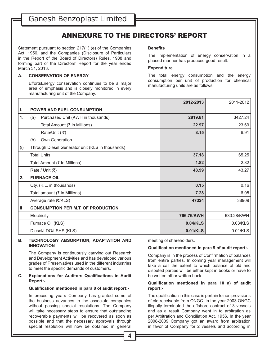# ANNEXURE TO THE DIRECTORS' REPORT

Statement pursuant to section 217(1) (e) of the Companies Act, 1956, and the Companies (Disclosure of Particulars in the Report of the Board of Directors) Rules, 1988 and forming part of the Directors' Report for the year ended March 31, 2013.

#### **A. CONSERVATION OF ENERGY**

EffortsEnergy conservation continues to be a major area of emphasis and is closely monitored in every manufacturing unit of the Company.

#### **Benefits**

The implementation of energy conservation in a phased manner has produced good result.

#### **Expenditure**

The total energy consumption and the energy consumption per unit of production for chemical manufacturing units are as follows:

|     |                                                  | 2012-2013   | 2011-2012  |
|-----|--------------------------------------------------|-------------|------------|
| ı.  | <b>POWER AND FUEL CONSUMPTION</b>                |             |            |
| 1.  | Purchased Unit (KWH in thousands)<br>(a)         | 2819.81     | 3427.24    |
|     | Total Amount (₹ in Millions)                     | 22.97       | 23.69      |
|     | Rate/Unit (₹)                                    | 8.15        | 6.91       |
|     | Own Generation<br>(b)                            |             |            |
| (i) | Through Diesel Generator unit (KLS in thousands) |             |            |
|     | <b>Total Units</b>                               | 37.18       | 65.25      |
|     | Total Amount (₹ In Millions)                     | 1.82        | 2.82       |
|     | Rate / Unit $(\overline{\tau})$                  | 48.99       | 43.27      |
| 2.  | <b>FURNACE OIL</b>                               |             |            |
|     | Qty. (K.L. in thousands)                         | 0.15        | 0.16       |
|     | Total amount (₹ In Millions)                     | 7.28        | 6.05       |
|     | Average rate (₹/KLS)                             | 47324       | 38909      |
| Ш   | <b>CONSUMPTION PER M.T. OF PRODUCTION</b>        |             |            |
|     | Electricity                                      | 766.76/KWH  | 633.28/KWH |
|     | Furnace Oil (KLS)                                | $0.04$ /KLS | 0.03/KLS   |
|     | Diesel/LDO/LSHS (KLS)                            | $0.01$ /KLS | 0.01/KLS   |

#### **B. TECHNOLOGY ABSORPTION, ADAPTATION AND INNOVATION**

The Company is continuously carrying out Research and Development Activities and has developed various grades of Preservatives used in the different industries to meet the specific demands of customers.

**C. Explanations for Auditors Qualifications in Audit Report:-**

#### **Qualification mentioned in para 8 of audit report:-**

In preceding years Company has granted some of the business advances to the associate companies without passing special resolutions. The Company will take necessary steps to ensure that outstanding recoverable payments will be recovered as soon as possible and that the necessary approvals through special resolution will now be obtained in general

meeting of shareholders.

#### **Qualification mentioned in para 9 of audit report:-**

Company is in the process of Confirmation of balances from entire parties. In coming year management will take a call the extent to which balance of old and disputed parties will be either kept in books or have to be written off or written back.

#### **Qualification mentioned in para 10 a) of audit report:-**

The qualification in this case is pertain to non provisions of old receivable from ONGC. In the year 2003 ONGC illegally terminated the offshore contract of 3 vessels and as a result Company went in to arbitration as per Arbitration and Conciliation Act, 1956. In the year 2008-2009 Company got an award from arbitration in favor of Company for 2 vessels and according in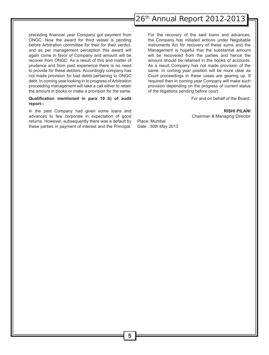# 26th Annual Report 2012-2013

preceding financial year Company got payment from ONGC. Now the award for third vessel is pending before Arbitration committee for their for their verdict, and as per management perception this award will again come in favor of Company and amount will be recover from ONGC. As a result of this and matter of prudence and from past experience there is no need to provide for these debtors. Accordingly company has not made provision for bad debts pertaining to ONGC debt. In coming year looking in to progress of Arbitration proceeding management will take a call either to retain the amount in books or make a provision for the same.

**Qualification mentioned in para 10 b) of audit report:-**

In the past Company had given some loans and advances to few corporate in expectation of good returns. However, subsequently there was a default by these parties in payment of interest and the Principal. For the recovery of the said loans and advances, the Company has initiated actions under Negotiable instruments Act for recovery of these sums and the Management is hopeful that the substantial amount will be recovered from the parties and hence the amount should be retained in the books of accounts. As a result Company has not made provision of the same. In coming year position will be more clear as Court proceedings in these cases are gearing up. If required then in coming year Company will make such provision depending on the progress of current status of the litigations pending before court.

For and on behalf of the Board,

**RISHI PILANI** Chairman & Managing Director

Place: Mumbai Date : 30th May 2013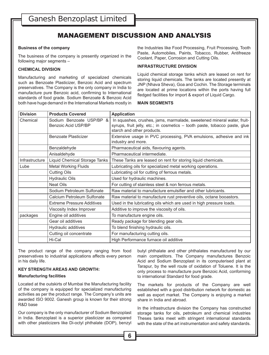# MANAGEMENT DISCUSSION AND ANALYSIS

#### **Business of the company**

The business of the company is presently organized in the following major segments –

#### **CHEMICAL DIVISION**

Manufacturing and marketing of specialized chemicals such as Benzoate Plasticizer, Benzoic Acid and spectrum preservatives. The Company is the only company in India to manufacture pure Benzoic acid, confirming to International standards of food grade. Sodium Benzoate & Benzoic Acid both have huge demand in the International Markets mostly in the Industries like Food Processing, Fruit Processing, Tooth Paste, Automobiles, Paints, Tobacco, Rubber, Antifreeze Coolant, Paper, Corrosion and Cutting Oils.

#### **INFRASTRUCTURE DIVISION**

Liquid chemical storage tanks which are leased on rent for storing liquid chemicals. The tanks are located presently at JNP (Nhava Sheva), Goa and Cochin. The Storage terminals are located at prime locations within the ports having full fledged facilities for import & export of Liquid Cargo.

#### **MAIN SEGMENTS**

| <b>Division</b> | <b>Products Covered</b>                         | <b>Application</b>                                                                                                                                                                   |
|-----------------|-------------------------------------------------|--------------------------------------------------------------------------------------------------------------------------------------------------------------------------------------|
| Chemical        | Sodium Benzoate USP/BP &<br>Benzoic Acid USP/BP | In squashes, crushes, jams, marmalade, sweetened mineral water, fruit-<br>syrups, fruit jelly, etc.; in cosmetics $-$ tooth paste, tobacco paste, glue<br>starch and other products. |
|                 | Benzoate Plasticizer                            | Extensive usage in PVC processing, PVA emulsions, adhesive and ink<br>industry and more.                                                                                             |
|                 | Benzaldehyde                                    | Pharmaceutical aids, flavouring agents.                                                                                                                                              |
|                 | Anisaldehyde                                    | Pharmaceutical intermediate.                                                                                                                                                         |
| Infrastructure  | Liquid Chemical Storage Tanks                   | These Tanks are leased on rent for storing liquid chemicals.                                                                                                                         |
| Lube            | <b>Metal Working Fluids</b>                     | Lubricating oils for specialized metal working operations.                                                                                                                           |
|                 | <b>Cutting Oils</b>                             | Lubricating oil for cutting of ferrous metals.                                                                                                                                       |
|                 | <b>Hydraulic Oils</b>                           | Used for hydraulic machines.                                                                                                                                                         |
|                 | <b>Neat Oils</b>                                | For cutting of stainless steel & non ferrous metals.                                                                                                                                 |
|                 | Sodium Petroleum Sulfonate                      | Raw material to manufacture emulsifier and other lubricants.                                                                                                                         |
|                 | Calcium Petroleum Sulfonate                     | Raw material to manufacture rust preventive oils, octane booastors.                                                                                                                  |
|                 | <b>Extreme Pressure Additives</b>               | Used in the lubricating oils which are used in high pressure loads.                                                                                                                  |
|                 | Viscosity Index Improver                        | Additive to improve the viscosity of oils.                                                                                                                                           |
| packages        | Engine oil additives                            | To manufacture engine oils.                                                                                                                                                          |
|                 | Gear oil additives                              | Ready package for blending gear oils.                                                                                                                                                |
|                 | Hydraulic additives                             | To blend finishing hydraulic oils.                                                                                                                                                   |
|                 | Cutting oil concentrate                         | For manufacturing cutting oils.                                                                                                                                                      |
|                 | Hi-Cal                                          | High Performance furnace oil additive                                                                                                                                                |

 The product range of the company ranging from food preservatives to industrial applications affects every person in his daily life.

#### **KEY STRENGTH AREAS AND GROWTH:**

#### **Manufacturing facilities**

Located at the outskirts of Mumbai the Manufacturing facility of the company is equipped for specialized manufacturing activities as per the product range. The Company's units are awarded ISO 9002. Ganesh group is known for their strong R&D base

Our company is the only manufacturer of Sodium Benzoplast in India. Benzoplast is a superior plasticizer as compared with other plasticizers like Di-octyl phthalate (DOP), benzyl butyl phthalate and other phthalates manufactured by our main competitors. The Company manufactures Benzoic Acid and Sodium Benzoplast in its computerised plant at Tarapur, by the well route of oxidation of Toluene. It is the only process to manufacture pure Benzoic Acid, conforming to international Standard for food grade.

The markets for products of the Company are well established with a good distribution network for domestic as well as export market. The Company is enjoying a market share in India and abroad.

In the infrastructure division the Company has constructed storage tanks for oils, petroleum and chemical industries Theses tanks meet with stringent international standards with the state of the art instrumentation and safety standards.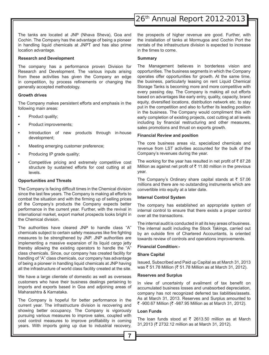The tanks are located at JNP (Nhava Sheva), Goa and Cochin. The Company has the advantage of being a pioneer in handling liquid chemicals at JNPT and has also prime location advantage.

#### **Research and Development**

The company has a performance proven Division for Research and Development. The various inputs arising from these activities has given the Company an edge in competition, by process refinements or changing the generally accepted methodology.

#### **Growth drives**

The Company makes persistent efforts and emphasis in the following main areas:

- **•** Product quality;
- **•** Product improvements;
- **•** Introduction of new products through in-house development;
- **•** Meeting emerging customer preference;
- **•** Producing IP grade quality;
- **•** Competitive pricing and extremely competitive cost structure by sustained efforts for cost cutting at all levels.

#### **Opportunities and Threats**

The Company is facing difficult times in the Chemical division since the last few years. The Company is making all efforts to combat the situation and with the firming up of selling prices of the Company's products the Company expects better performance in the current year. Further, with the revival in international market, export market prospects looks bright in the Chemical division.

The authorities have cleared JNP to handle class "A" chemicals subject to certain safety measures like fire fighting measures to be strengthened by JNP. JNP authorities are implementing a massive expansion of its liquid cargo jetty thereby allowing the existing operators to handle the "A" class chemicals. Since, our company has created facility for handling of "A" class chemicals, our company has advantage of being a pioneer in handling liquid chemicals at JNP having all the infrastructure of world class facility created at the site.

We have a large clientele of domestic as well as overseas customers who have their business dealings pertaining to imports and exports based in Goa and adjoining areas of Maharashtra & Karnataka.

The Company is hopeful for better performance in the current year. The infrastructure division is recovering and showing better occupancy. The Company is vigorously pursuing various measures to improve sales, coupled with cost control measures to improve profitability in coming years. With imports going up due to industrial recovery, the prospects of higher revenue are good. Further, with the installation of tanks at Mormugoa and Cochin Port the rentals of the infrastructure division is expected to increase in the times to come.

#### **Summary**

The Management believes in borderless vision and opportunities. The business segments in which the Company operates offer opportunities for growth. At the same time, the business, particularly leasing on rent Liquid Chemical Storage Tanks is becoming more and more competitive with every passing day. The Company is making all out efforts based on advantages like early entry, quality, capacity, brand equity, diversified locations, distribution network etc. to stay put in the competition and also to further its leading position in the business. The Company would compliment this with early completion of existing projects, cost cutting at all levels including by financial restructuring and other measures, sales promotions and thrust on exports growth.

#### **Financial Review and position**

The core business areas viz. specialized chemicals and revenue from LST activities accounted for the bulk of the Company's revenues during the year.

The working for the year has resulted in net profit of  $\bar{\tau}$  87.28 Million as against net profit of  $\bar{\tau}$  11.80 million in the previous year.

The Company's Ordinary share capital stands at  $\bar{z}$  57.06 millions and there are no outstanding instruments which are convertible into equity at a later date.

#### **Internal Control System**

The company has established an appropriate system of internal control to ensure that there exists a proper control over all the transactions.

The internal audit is conducted in all its key areas of business. The internal audit including the Stock Takings, carried out by an outside firm of Chartered Accountants, is oriented towards review of controls and operations improvements.

#### **Financial Condition:-**

#### **Share Capital**

Issued, Subscribed and Paid up Capital as at March 31, 2013 was ₹ 51.78 Million (₹ 51.78 Million as at March 31, 2012).

#### **Reserves and Surplus**

In view of uncertainty of availment of tax benefit on accumulated business losses and unabsorbed depreciation, company has not recognized deferred tax liabilities/assets. As at March 31, 2013. Reserves and Surplus amounted to ` -900.67 Million (` -987.95 Million as at March 31, 2012).

#### **Loan Funds**

The loan funds stood at  $\bar{\tau}$  2613.50 million as at March 31,2013 (` 2732.12 million as at March 31, 2012).

**7**

# 26th Annual Report 2012-2013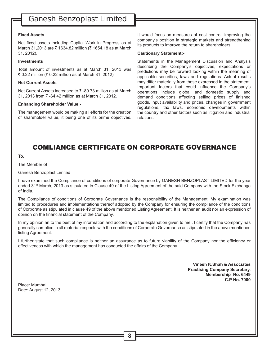#### **Fixed Assets**

Net fixed assets including Capital Work in Progress as at March 31,2013 are ₹ 1634.82 million (₹ 1654.18 as at March 31, 2012).

#### **Investments**

Total amount of investments as at March 31, 2013 was ₹ 0.22 million (₹ 0.22 million as at March 31, 2012).

#### **Net Current Assets**

Net Current Assets increased to  $\bar{\tau}$  -80.73 million as at March 31, 2013 from ₹ -64.42 million as at March 31, 2012.

#### **Enhancing Shareholder Value:-**

The management would be making all efforts for the creation of shareholder value, it being one of its prime objectives. It would focus on measures of cost control, improving the company's position in strategic markets and strengthening its products to improve the return to shareholders.

#### **Cautionary Statement:-**

Statements in the Management Discussion and Analysis describing the Company's objectives, expectations or predictions may be forward looking within the meaning of applicable securities, laws and regulations. Actual results may differ materially from those expressed in the statement. Important factors that could influence the Company's operations include global and domestic supply and demand conditions affecting selling prices of finished goods, input availability and prices, changes in government regulations, tax laws, economic developments within the country and other factors such as litigation and industrial relations.

# COMLIANCE CERTIFICATE ON CORPORATE GOVERNANCE

**To,**

The Member of

Ganesh Benzoplast Limited

I have examined the Compliance of conditions of corporate Governance by GANESH BENZOPLAST LIMITED for the year ended 31st March, 2013 as stipulated in Clause 49 of the Listing Agreement of the said Company with the Stock Exchange of India.

The Compliance of conditions of Corporate Governance is the responsibility of the Management. My examination was limited to procedures and implementations thereof adopted by the Company for ensuring the compliance of the conditions of Corporate as stipulated in clause 49 of the above mentioned Listing Agreement. It is neither an audit nor an expression of opinion on the financial statement of the Company.

In my opinion an to the best of my information and according to the explanation given to me . I certify that the Company has generally complied in all material respects with the conditions of Corporate Governance as stipulated in the above mentioned listing Agreement.

I further state that such compliance is neither an assurance as to future viability of the Company nor the efficiency or effectiveness with which the management has conducted the affairs of the Company.

> **Vinesh K.Shah & Associates Practising Company Secretary, Membership No. 6449 C.P No. 7000**

Place: Mumbai Date: August 12, 2013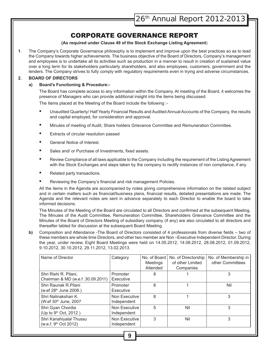### CORPORATE GOVERNANCE REPORT

**(As required under Clause 49 of the Stock Exchange Listing Agreement**)

**1**. The Company's Corporate Governance philosophy is to implement and improve upon the best practices so as to lead the Company towards higher achievements. The business objective of the Board of Directors, Company's management and employees is to undertake all its activities such as production in a manner to result in creation of sustained value over a long term for its stakeholders particularly shareholders, and also employees, customers, government and the lenders. The Company strives to fully comply with regulatory requirements even in trying and adverse circumstances.

#### **2. BOARD OF DIRECTORS**

#### **a) Board's Functioning & Procedure:-**

The Board has complete access to any information within the Company. At meeting of the Board, it welcomes the presence of Managers who can provide additional insight into the items being discussed.

The Items placed at the Meeting of the Board include the following :-

- **•** Unaudited Quarterly/ Half Yearly Financial Results and Audited Annual Accounts of the Company, the results and capital employed, for consideration and approval.
- **•** Minutes of meeting of Audit, Share holders Grievance Committee and Remuneration Committee.
- **•** Extracts of circular resolution passed
- **•** General Notice of Interest.
- **•** Sales and/ or Purchase of Investments, fixed assets.
- **•** Review Compliance of all laws applicable to the Company including the requirement of the Listing Agreement with the Stock Exchanges and steps taken by the company to rectify instances of non compliance, if any.
- **•** Related party transactions.
- **•** Reviewing the Company's financial and risk management Policies.

All the items in the Agenda are accompanied by notes giving comprehensive information on the related subject and in certain matters such as financial/business plans, financial results, detailed presentations are made. The Agenda and the relevant notes are sent in advance separately to each Director to enable the board to take informed decisions.

The Minutes of the Meeting of the Board are circulated to all Directors and confirmed at the subsequent Meeting. The Minutes of the Audit Committee, Remuneration Committee, Shareholders Grievance Committee and the Minutes of the Board of Directors Meeting of subsidiary company (if any) are also circulated to all directors and thereafter tabled for discussion at the subsequent Board Meeting.

**b)** Composition and Attendance -The Board of Directors consisted of 4 professionals from diverse fields – two of these members are whole time Directors, and other two member are Non –Executive Independent Director. During the year, under review, Eight Board Meetings were held on 14.05.2012, 14.08.2012, 28.08.2012, 01.09.2012, 9.10.2012, 30.10.2012, 29.11.2012, 13.02.2013.

| Name of Director                                             | Category                     | No. of Board<br>Meetings<br>Attended | No. of Directorship<br>of other Limited<br>Companies | No. of Membership in<br>other Committees |
|--------------------------------------------------------------|------------------------------|--------------------------------------|------------------------------------------------------|------------------------------------------|
| Shri Rishi R. Pilani,<br>Chairman & MD (w.e.f. 30.09.2011)   | Promoter<br>Executive        | 8                                    |                                                      | 3                                        |
| Shri Raunak R.Pilani<br>(w.ef 28 <sup>th</sup> June 2008.)   | Promoter<br>Executive        | 8                                    |                                                      | Nil                                      |
| Shri Nalinakshan K.<br>(W.ef 30th June, 2007                 | Non Executive<br>Independent | 8                                    |                                                      | 3                                        |
| Shri Gyan Chordia<br>(Up to $9^{th}$ Oct, 2012)              | Non Executive<br>Independent | 5                                    | Nil                                                  | 3                                        |
| Shri Kanahiyalal Thussu<br>(w.e.f. 9 <sup>th</sup> Oct 2012) | Non Executive<br>Independent | 3                                    | Nil                                                  | 3                                        |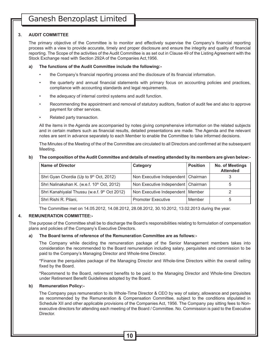#### **3. AUDIT COMMITTEE**

The primary objective of the Committee is to monitor and effectively supervise the Company's financial reporting process with a view to provide accurate, timely and proper disclosure and ensure the integrity and quality of financial reporting. The Scope of the activities of the Audit Committee is as set out in Clause 49 of the Listing Agreement with the Stock Exchange read with Section 292A of the Companies Act,1956.

#### **a) The functions of the Audit Committee include the following:-**

- the Company's financial reporting process and the disclosure of its financial information.
- the quarterly and annual financial statements with primary focus on accounting policies and practices, compliance with accounting standards and legal requirements.
- the adequacy of internal control systems and audit function.
- Recommending the appointment and removal of statutory auditors, fixation of audit fee and also to approve payment for other services.
- Related party transaction.

All the items in the Agenda are accompanied by notes giving comprehensive information on the related subjects and in certain matters such as financial results, detailed presentations are made. The Agenda and the relevant notes are sent in advance separately to each Member to enable the Committee to take informed decisions.

The Minutes of the Meeting of the of the Committee are circulated to all Directors and confirmed at the subsequent Meeting.

#### **b) The composition of the Audit Committee and details of meeting attended by its members are given below:-**

| Name of Director                                          | Category                             | <b>Position</b> | No. of Meetings<br><b>Attended</b> |
|-----------------------------------------------------------|--------------------------------------|-----------------|------------------------------------|
| Shri Gyan Chordia (Up to 9 <sup>th</sup> Oct, 2012)       | Non Executive Independent   Chairman |                 |                                    |
| Shri Nalinakshan K. (w.e.f. 10 <sup>th</sup> Oct, 2012)   | Non Executive Independent   Chairman |                 | 5                                  |
| Shri Kanahiyalal Thussu (w.e.f. 9 <sup>th</sup> Oct 2012) | Non Executive Independent   Member   |                 |                                    |
| Shri Rishi R. Pilani,                                     | <b>Promoter Executive</b>            | Member          | 5                                  |

The Committee met on 14.05.2012, 14.08.2012, 28.08.2012, 30.10.2012, 13.02.2013 during the year.

#### **4. REMUNERATION COMMITTEE:-**

The purpose of the Committee shall be to discharge the Board's responsibilities relating to formulation of compensation plans and policies of the Company's Executive Directors.

#### **a) The Board terms of reference of the Remuneration Committee are as follows:-**

The Company while deciding the remuneration package of the Senior Management members takes into consideration the recommended to the Board remuneration including salary, perquisites and commission to be paid to the Company's Managing Director and Whole-time Director.

\*Finance the perquisites package of the Managing Director and Whole-time Directors within the overall ceiling fixed by the Board.

\*Recommend to the Board, retirement benefits to be paid to the Managing Director and Whole-time Directors under Retirement Benefit Guidelines adopted by the Board.

#### **b) Remuneration Policy:-**

The Company pays remuneration to its Whole-Time Director & CEO by way of salary, allowance and perquisites as recommended by the Remuneration & Compensation Committee, subject to the conditions stipulated in Schedule XII and other applicable provisions of the Companies Act, 1956. The Company pay sitting fees to Nonexecutive directors for attending each meeting of the Board / Committee. No. Commission is paid to the Executive Director.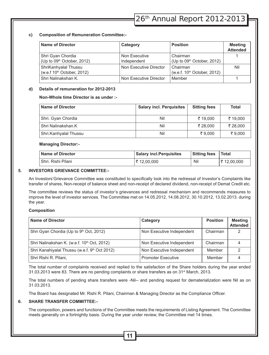# 26th Annual Report 2012-2013

#### **c) Composition of Remuneration Committee:-**

| <b>Name of Director</b>                                        | Category                     | <b>Position</b>                                     | <b>Meeting</b><br><b>Attended</b> |
|----------------------------------------------------------------|------------------------------|-----------------------------------------------------|-----------------------------------|
| Shri Gyan Chordia<br>(Up to 09th October, 2012)                | Non Executive<br>Independent | Chairman<br>(Up to $09th$ October, 2012)            |                                   |
| ShriKanhyalal Thussu<br>(w.e.f 10 <sup>th</sup> October, 2012) | Non Executive Director       | Chairman<br>(w.e.f. 10 <sup>th</sup> October, 2012) | Nil                               |
| Shri Nalinakshan K.                                            | Non Executive Director       | Member                                              |                                   |

#### **d) Details of remuneration for 2012-2013**

#### **Non-Whole time Director is as under :-**

| Name of Director      | <b>Salary incl. Perquisites</b> | <b>Sitting fees</b> | Total   |
|-----------------------|---------------------------------|---------------------|---------|
| Shri. Gyan Chordia    | Nil                             | ₹19.000             | ₹19.000 |
| Shri Nalinakshan.K    | Nil                             | ₹28.000             | ₹28.000 |
| Shri.Kanhyalal Thussu | Nil                             | ₹9.000              | ₹9.000  |

#### **Managing Director:-**

| <b>Name of Director</b> | <b>Salary incl.Perquisites</b> | <b>Sitting fees</b> | Total       |
|-------------------------|--------------------------------|---------------------|-------------|
| l Shri. Rishi Pilani    | ₹ 12.00.000                    | Nil                 | ₹ 12.00.000 |

#### **5. INVESTORS GRIEVANCE COMMITTEE:-**

An Investors'Grievance Committee was constituted to specifically look into the redressal of Investor's Complaints like transfer of shares, Non-receipt of balance sheet and non-receipt of declared dividend, non-receipt of Demat Credit etc.

The committee reviews the status of investor's grievances and redressal mechanism and recommends measures to improve the level of investor services. The Committee met on 14.05.2012, 14.08.2012, 30.10.2012, 13.02.2013. during the year.

#### **Composition**

| Name of Director                                          | Category                  | <b>Position</b> | <b>Meeting</b><br><b>Attended</b> |
|-----------------------------------------------------------|---------------------------|-----------------|-----------------------------------|
| Shri Gyan Chordia (Up to 9th Oct, 2012)                   | Non Executive Independent | Chairman        | $\mathcal{P}$                     |
| Shri Nalinakshan K. (w.e.f. 10 <sup>th</sup> Oct, 2012)   | Non Executive Independent | Chairman        |                                   |
| Shri Kanahiyalal Thussu (w.e.f. 9 <sup>th</sup> Oct 2012) | Non Executive Independent | Member          | 2                                 |
| Shri Rishi R. Pilani,                                     | <b>Promoter Executive</b> | Member          |                                   |

The total number of complaints received and replied to the satisfaction of the Share holders during the year ended  $31.03.2013$  were 83. There are no pending complaints or share transfers as on  $31<sup>st</sup>$  March, 2013.

The total numbers of pending share transfers were -Nil-- and pending request for dematerialization were Nil as on 31.03.2013.

The Board has designated Mr. Rishi R. Pilani, Chairman & Managing Director as the Compliance Officer.

#### **6. SHARE TRANSFER COMMITTEE:-**

The composition, powers and functions of the Committee meets the requirements of Listing Agreement. The Committee meets generally on a fortnightly basis. During the year under review, the Committee met 14 times.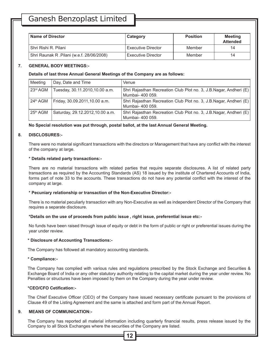| Name of Director                          | Category           | <b>Position</b> | Meeting<br><b>Attended</b> |
|-------------------------------------------|--------------------|-----------------|----------------------------|
| Shri Rishi R. Pilani                      | Executive Director | Member          | 14                         |
| Shri Raunak R. Pilani (w.e.f. 28/06/2008) | Executive Director | Member          | 14                         |

#### **7. GENERAL BODY MEETINGS:-**

#### **Details of last three Annual General Meetings of the Company are as follows:**

| Meeting              | Day, Date and Time              | Venue                                                                                 |
|----------------------|---------------------------------|---------------------------------------------------------------------------------------|
| 23rd AGM             | Tuesday, 30.11.2010, 10.00 a.m. | Shri Rajasthan Recreation Club Plot no. 3, J.B.Nagar, Andheri (E)<br>Mumbai- 400 059. |
| 24 <sup>th</sup> AGM | Friday, 30.09.2011, 10.00 a.m.  | Shri Rajasthan Recreation Club Plot no. 3, J.B.Nagar, Andheri (E)<br>Mumbai- 400 059. |
| 25 <sup>th</sup> AGM | Saturday, 29.12.2012,10.00 a.m. | Shri Rajasthan Recreation Club Plot no. 3, J.B.Nagar, Andheri (E)<br>Mumbai- 400 059. |

#### **No Special resolution was put through, postal ballot, at the last Annual General Meeting.**

#### **8. DISCLOSURES:-**

There were no material significant transactions with the directors or Management that have any conflict with the interest of the company at large.

#### **\* Details related party transactions:-**

There are no material transactions with related parties that require separate disclosures. A list of related party transactions as required by the Accounting Standards (AS) 18 issued by the institute of Chartered Accounts of India, forms part of note 33 to the accounts. These transactions do not have any potential conflict with the interest of the company at large.

#### **\* Pecuniary relationship or transaction of the Non-Executive Director:-**

There is no material peculiarly transaction with any Non-Executive as well as independent Director of the Company that requires a separate disclosure.

#### **\*Details on the use of proceeds from public issue , right issue, preferential issue etc:-**

No funds have been raised through issue of equity or debt in the form of public or right or preferential issues during the year under review.

#### **\* Disclosure of Accounting Transactions:-**

The Company has followed all mandatory accounting standards.

#### **\* Compliance:-**

The Company has complied with various rules and regulations prescribed by the Stock Exchange and Securities & Exchange Board of India or any other statutory authority relating to the capital market during the year under review. No Penalties or structures have been imposed by them on the Company during the year under review.

#### **\*CEO/CFO Cetification:-**

The Chief Executive Officer (CEO) of the Company have issued necessary certificate pursuant to the provisions of Clause 49 of the Listing Agreement and the same is attached and form part of the Annual Report.

#### **9. MEANS OF COMMUNICATION:-**

The Company has reported all material information including quarterly financial results, press release issued by the Company to all Stock Exchanges where the securities of the Company are listed.

**12**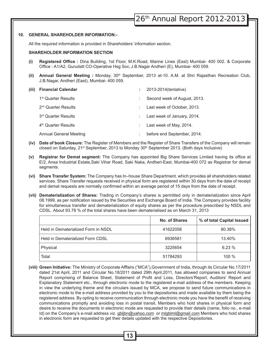#### **10. GENERAL SHAREHOLDER INFORMATION:-**

All the required information is provided in Shareholders' information section.

#### **SHAREHOLDER INFORMATION SECTION**

- **(i) Registered Office :** Dina Building, 1st Floor, M.K.Road, Marine Lines (East) Mumbai- 400 002. & Corporate Office : A1/A2, Gurudatt CO-Operative Hsg Soc, J.B.Nagar Andheri (E), Mumbai- 400 059.
- (ii) Annual General Meeting : Monday, 30<sup>th</sup> September, 2013 at-10. A.M. at Shri Rajasthan Recreation Club, J.B.Nagar, Andheri (East), Mumbai- 400 059.

|  | (iii) Financial Calendar        | $: 2013-2014$ (tentative)     |
|--|---------------------------------|-------------------------------|
|  | 1 <sup>st</sup> Quarter Results | Second week of August, 2013.  |
|  | 2 <sup>nd</sup> Quarter Results | Last week of October, 2013.   |
|  | 3rd Quarter Results             | : Last week of January, 2014. |
|  | 4 <sup>th</sup> Quarter Results | Last week of May, 2014.       |
|  | Annual General Meeting          | before end September, 2014.   |

- **(iv) Date of book Closure:** The Register of Members and the Register of Share Transfers of the Company will remain closed on Saturday, 21<sup>st</sup> September, 2013 to Monday 30<sup>th</sup> September 2013. (Both days Inclusive)
- **(v) Registrar for Demat segment:** The Company has appointed Big Share Services Limited having its office at E/2, Ansa Industrial Estate,Saki Vihar Road, Saki Naka, Andheri-East, Mumbai-400 072 as Registrar for demat segments.
- **(vi) Share Transfer System:** The Company has In–house Share Department, which provides all shareholders related services. Share Transfer requests received in physical form are registered within 30 days from the date of receipt and demat requests are normally confirmed within an average period of 15 days from the date of receipt.
- **(vii) Dematerialization of Shares:** Trading in Company's shares is permitted only in dematerialization since April 08.1999, as per notification issued by the Securities and Exchange Board of India. The Company provides facility for simultaneous transfer and dematerialization of equity shares as per the procedure prescribed by NSDL and CDSL. About 93.78 % of the total shares have been dematerialised as on March 31, 2013

|                                     | No. of Shares | % of total Capital Issued |
|-------------------------------------|---------------|---------------------------|
| Held in Dematerialized Form in NSDL | 41622058      | 80.38%                    |
| Held in Dematerialized Form CDSL    | 6936581       | 13.40%                    |
| Physical                            | 3225654       | 6.23%                     |
| Total                               | 51784293      | $100 \%$                  |

**(viii) Green Initiative:** The Ministry of Corporate Afffairs ("MCA"),Government of India, through its Circular No.17/2011 dated 21st April, 2011 and Circular No.18/2011 dated 29th April,2011, has allowed companies to send Annual Report comprising of Balance Sheet, Statement of Profit and Loss, Directors'Report, Auditors' Report and Explanatory Statement etc., through electronic mode to the registered e-mail address of the members. Keeping in view the underlying theme and the circulars issued by MCA, we propose to send future communications in electronic mode to the e-mail address provided by you to the depositories and made available by them being the registered address. By opting to receive communication through electronic mode you have the benefit of receiving communications promptly and avoiding loss in postal transit. Members who hold shares in physical form and desire to receive the documents in electronic mode are requested to provide their details (name, folio no., e-mail Id) on the Company's e-mail address viz. gbljbn@yahoo.com or mlgblml@gmail.com Members who hold shares in electronic form are requested to get their details updated with the respective Depositories.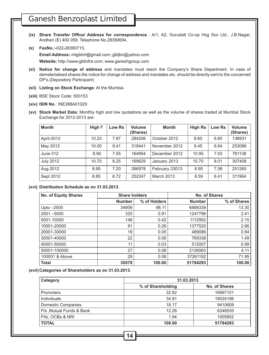# Ganesh Benzoplast Limited

- **(ix) Share Transfer Office/ Address for correspondence** : A/1, A2, Gurudatt Co-op Hsg Soc Ltd., J.B.Nagar, Andheri (E) 400 059, Telephone No.28390694,
- **(x) FaxNo.:-**022**-**28390715,

 **Email Address:**-mlgblml@gmail.com.;gbljbn@yahoo.com **Website:** http://www.gblinfra.com; www.ganeshgroup.com

- **(xi) Notice for change of address** and mandates must reach the Company's Share Department. In case of dematerialised shares the notice for change of address and mandates etc. should be directly sent to the concerned DP's.(Depository Participant)
- **(xii) Listing on Stock Exchange**: At the Mumbai.
- **(xiii)** BSE Stock Code: 500153
- **(xiv) ISIN No**.: INE388A01029
- **(xv) Stock Market Data:** Monthly high and low quotations as well as the volume of shares traded at Mumbai Stock Exchange for 2012-2013 are:

| <b>Month</b>     | High $\bar{z}$ | Low Rs | Volume<br>(Shares) | <b>Month</b>      | <b>High Rs</b> | Low Rs | Volume<br>(Shares) |
|------------------|----------------|--------|--------------------|-------------------|----------------|--------|--------------------|
| April-2012       | 10.23          | 7.87   | 284206             | October 2012      | 8.60           | 6.60   | 136931             |
| May 2012         | 10.00          | 8.41   | 318441             | November 2012     | 9.45           | 6.64   | 253086             |
| June 012         | 8.90           | 7.55   | 164954             | December 2012     | 10.95          | 7.03   | 761138             |
| <b>July 2012</b> | 10.70          | 8.25   | 169629             | January 2013      | 10.70          | 8.01   | 307408             |
| Aug 2012         | 8.95           | 7.20   | 266978             | February 23013    | 8.90           | 7.06   | 251265             |
| Sept 2012        | 8.85           | 6.72   | 252247             | <b>March 2013</b> | 8.59           | 6.41   | 311964             |

**(xvi) Distribution Schedule as on 31.03.2013**.

| <b>No. of Equity Shares</b> | <b>Share holders</b> |              | No. of Shares |             |  |
|-----------------------------|----------------------|--------------|---------------|-------------|--|
|                             | <b>Number</b>        | % of Holders | <b>Number</b> | % of Shares |  |
| Upto $-2500$                | 34906                | 98.11        | 6888339       | 13.30       |  |
| 2501-5000                   | 325                  | 0.91         | 1247796       | 2.41        |  |
| 5001-10000                  | 148                  | 0.42         | 1112952       | 2.15        |  |
| 10001-20000                 | 91                   | 0.26         | 1377520       | 2.66        |  |
| 20001-30000                 | 19                   | 0.05         | 489086        | 0.94        |  |
| 30001-40000                 | 22                   | 0.06         | 769338        | 1.49        |  |
| 40001-50000                 | 11                   | 0.03         | 512007        | 0.99        |  |
| 50001-100000                | 27                   | 0.08         | 2126063       | 4.11        |  |
| 100001 & Above              | 29                   | 0.08         | 37261192      | 71.95       |  |
| <b>Total</b>                | 35578                | 100.00       | 51784293      | 100.00      |  |

**(xvii) Categories of Shareholders as on 31.03.2013**.

| Category                 | 31.03.2013                         |          |  |
|--------------------------|------------------------------------|----------|--|
|                          | % of Shareholding<br>No. of Shares |          |  |
| Promoters                | 32.82                              | 16997101 |  |
| Individuals              | 34.81                              | 18024196 |  |
| Domestic Companies       | 18.17                              | 9410609  |  |
| Fls, Mutual Funds & Bank | 12.26                              | 6346535  |  |
| Fils, OCBs & NRI         | 1.94                               | 1005852  |  |
| <b>TOTAL</b>             | 100.00                             | 51784293 |  |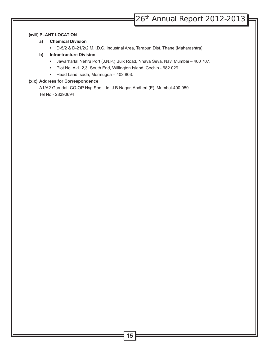# 26<sup>th</sup> Annual Report 2012-2013

#### **(xviii) PLANT LOCATION**

#### **a) Chemical Division**

**•** D-5/2 & D-21/2/2 M.I.D.C. Industrial Area, Tarapur, Dist. Thane (Maharashtra)

#### **b) Infrastructure Division**

- **•** Jawarharlal Nehru Port (J.N.P.) Bulk Road, Nhava Seva, Navi Mumbai 400 707.
- **•** Plot No. A-1, 2,3. South End, Willington Island, Cochin 682 029.
- **•** Head Land, sada, Mormugoa 403 803.

#### **(xix) Address for Correspondence**

A1/A2 Gurudatt CO-OP Hsg Soc. Ltd, J.B.Nagar, Andheri (E), Mumbai-400 059. Tel No:- 28390694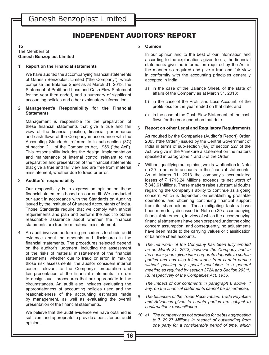# INDEPENDENT AUDITORS' REPORT

#### **To**  The Members of

**Ganesh Benzoplast Limited**

#### 1 **Report on the Financial statements**

We have audited the accompanying financial statements of Ganesh Benzoplast Limited ("the Company"), which comprise the Balance Sheet as at March 31, 2013, the Statement of Profit and Loss and Cash Flow Statement for the year then ended, and a summary of significant accounting policies and other explanatory information.

#### 2 **Management's Responsibility for the Financial Statements**

Management is responsible for the preparation of these financial statements that give a true and fair view of the financial position, financial performance and cash flows of the Company in accordance with the Accounting Standards referred to in sub-section (3C) of section 211 of the Companies Act, 1956 ("the Act"). This responsibility includes the design, implementation and maintenance of internal control relevant to the preparation and presentation of the financial statements that give a true and fair view and are free from material misstatement, whether due to fraud or error.

#### 3 **Auditor's responsibility**

Our responsibility is to express an opinion on these financial statements based on our audit. We conducted our audit in accordance with the Standards on Auditing issued by the Institute of Chartered Accountants of India. Those Standards require that we comply with ethical requirements and plan and perform the audit to obtain reasonable assurance about whether the financial statements are free from material misstatement.

4 An audit involves performing procedures to obtain audit evidence about the amounts and disclosures in the financial statements. The procedures selected depend on the auditor's judgment, including the assessment of the risks of material misstatement of the financial statements, whether due to fraud or error. In making those risk assessments, the auditor considers internal control relevant to the Company's preparation and fair presentation of the financial statements in order to design audit procedures that are appropriate in the circumstances. An audit also includes evaluating the appropriateness of accounting policies used and the reasonableness of the accounting estimates made by management, as well as evaluating the overall presentation of the financial statements.

We believe that the audit evidence we have obtained is sufficient and appropriate to provide a basis for our audit opinion.

#### 5 **Opinion**

In our opinion and to the best of our information and according to the explanations given to us, the financial statements give the information required by the Act in the manner so required and give a true and fair view in conformity with the accounting principles generally accepted in India:

- a) in the case of the Balance Sheet, of the state of affairs of the Company as at March 31, 2013;
- b) in the case of the Profit and Loss Account, of the profit/ loss for the year ended on that date; and
- c) in the case of the Cash Flow Statement, of the cash flows for the year ended on that date.

#### 6 **Report on other Legal and Regulatory Requirements**

As required by the Companies (Auditor's Report) Order, 2003 ("the Order") issued by the Central Government of India in terms of sub-section (4A) of section 227 of the Act, we give in the Annexure a statement on the matters specified in paragraphs 4 and 5 of the Order.

- 7 Without qualifying our opinion, we draw attention to Note no.29 to notes to accounts to the financial statements. As at March 31, 2013 the company's accumulated losses of  $\bar{\tau}$  1713.24 Millions exceeds its net worth of ₹843.61Millions. These matters raise substantial doubts regarding the Company's ability to continue as a going concern, which is dependent on establishing profitable operations and obtaining continuing financial support from its shareholders. These mitigating factors have been more fully discussed in Note no.29 accompanying financial statements, in view of which the accompanying financial statements have been prepared under the going concern assumption, and consequently, no adjustments have been made to the carrying values or classification of balance sheet accounts.
- *8 The net worth of the Company has been fully eroded as on March 31, 2013, however the Company had in the earlier years given inter corporate deposits to certain parties and has also taken loans from certain parties without passing any special resolution in a general meeting as required by section 372A and Section 293(1) (d) respectively of the Companies Act, 1956.*

*The Impact of our comments in paragraph 8 above, if any, on the financial statements cannot be ascertained.*

- *9 The balances of the Trade Receivables, Trade Payables and Advances given to certain parties are subject to confirmation / reconciliation.*
- *10 a) The company has not provided for debts aggregating to* ` *29.27 Millions in respect of outstanding from one party for a considerable period of time, which*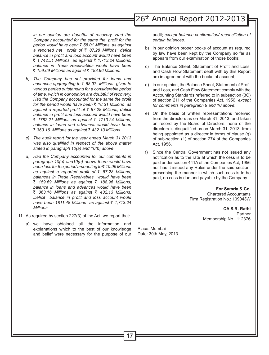*in our opinion are doubtful of recovery. Had the Company accounted for the same the profit for the period would have been* ` *58.01 Millions as against a reported net profit of* ` *87.28 Millions, deficit balance in profit and loss account would have been*  ` *1,742.51 Millions as against* ` *1,713.24 Millions, balance in Trade Receivables would have been*  ` *159.69 Millions as against* ` *188.96 Millions.* 

- *b) The Company has not provided for loans and advances aggregating to* ` *68.97 Millions given to various parties outstanding for a considerable period of time, which in our opinion are doubtful of recovery, Had the Company accounted for the same the profit for the period would have been* ` *18.31 Millions as against a reported profit of* ` *87.28 Millions, deficit balance in profit and loss account would have been*  ` *1782.21 Millions as against* ` *1713.24 Millions, balance in loans and advances would have been*  ` *363.16 Millions as against* ` *432.13 Millions.*
- *c) The audit report for the year ended March 31,2013 was also qualified in respect of the above matter stated in paragraph 10(a) and 10(b) above..*
- *d) Had the Company accounted for our comments in paragraph 10(a) and10(b) above there would have been loss for the period amounting to* ` *10.96 Millions as against a reported profit of* ` *87.28 Millions, balances in Trade Receivables would have been*  ` *159.69 Millions as against* ` *188.96 Millions, balance in loans and advances would have been*  ` *363.16 Millions as against* ` *432.13 Millions, Deficit balance in profit and loss account would have been 1811.48 Millions as against* ` *1,713.24 Millions.*
- 11. As required by section 227(3) of the Act, we report that:
	- a) we have obtained all the information and explanations which to the best of our knowledge and belief were necessary for the purpose of our

audit; *except balance confirmation/ reconciliation of certain balances*.

- b) in our opinion proper books of account as required by law have been kept by the Company so far as appears from our examination of those books;
- c) The Balance Sheet, Statement of Profit and Loss, and Cash Flow Statement dealt with by this Report are in agreement with the books of account;
- d) in our opinion, the Balance Sheet, Statement of Profit and Loss, and Cash Flow Statement comply with the Accounting Standards referred to in subsection (3C) of section 211 of the Companies Act, 1956, *except for comments in paragraph 9 and 10 above*;
- e) On the basis of written representations received from the directors as on March 31, 2013, and taken on record by the Board of Directors, none of the directors is disqualified as on March 31, 2013, from being appointed as a director in terms of clause (g) of sub-section (1) of section 274 of the Companies Act, 1956.
- f) Since the Central Government has not issued any notification as to the rate at which the cess is to be paid under section 441A of the Companies Act, 1956 nor has it issued any Rules under the said section, prescribing the manner in which such cess is to be paid, no cess is due and payable by the Company.

**For Samria & Co.**  Chartered Accountants Firm Registration No.: 109043W

> **CA S.R. Rathi** Partner Membership No.: 112376

Place: Mumbai Date: 30th May, 2013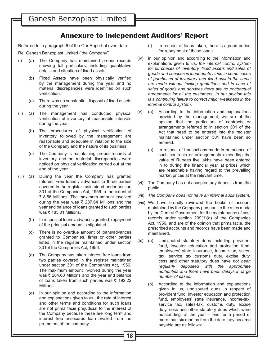### Annexure to Independent Auditors' Report

Referred to in paragraph 6 of the Our Report of even date.

Re: Ganesh Benzoplast Limited ('the Company')

- (i) (a) The Company has maintained proper records showing full particulars, including quantitative details and situation of fixed assets.
	- (b) Fixed Assets have been physically verified by the management during the year and no material discrepancies were identified on such verification.
	- (c) There was no substantial disposal of fixed assets during the year.
- (ii) (a) The management has conducted physical verification of inventory at reasonable intervals during the year.
	- (b) The procedures of physical verification of inventory followed by the management are reasonable and adequate in relation to the size of the Company and the nature of its business.
	- (c) The Company is maintaining proper records of inventory and no material discrepancies were noticed on physical verification carried out at the end of the year.
- (iii) (a) During the year the Company has granted Interest Free loans / advances to three parties covered in the register maintained under section 301 of the Companies Act, 1956 to the extent of ` 8.56 Millions. The maximum amount involved during the year was  $\bar{\tau}$  207.64 Millions and the year end balance of loans granted to such parties was  $\bar{\tau}$  185.01 Millions.
	- (b) In respect of loans /advances granted, repayment of the principal amount is stipulated.
	- (c) There is no overdue amount of loans/advances granted to Companies, firms or other parties listed in the register maintained under section 301of the Companies Act, 1956.
	- (d) The Company has taken Interest free loans from two parties covered in the register maintained under section 301 of the Companies Act, 1956. The maximum amount involved during the year was  $\bar{\tau}$  204.63 Millions and the year end balance of loans taken from such parties was  $\bar{\tau}$  192.22 Millions.
	- (e) In our opinion and according to the information and explanations given to us , the rate of interest and other terms and conditions for such loans are not prima facie prejudicial to the interest of the Company because these are long term and interest free unsecured loan availed from the promoters of the company.
- (f) In respect of loans taken, there is agreed period for repayment of these loans.
- (iv) In our opinion and according to the information and explanations given to us, *the internal control system for purchases of inventory, fixed assets and sales of goods and services is inadequate since in some cases of purchases of inventory and fixed assets the same are made without inviting quotations and in case of sales of goods and services there are no contractual agreements for all the customers. In our opinion this is a continuing failure to correct major weakness in the internal control system*.
- (v) (a) According to the information and explanations provided by the management, we are of the opinion that the particulars of contracts or arrangements referred to in section 301 of the Act that need to be entered into the register maintained under section 301 have been so entered.
	- (b) In respect of transactions made in pursuance of such contracts or arrangements exceeding the value of Rupees five lakhs have been entered in to during the financial year at prices which are reasonable having regard to the prevailing market prices at the relevant time.
- (vi) The Company has not accepted any deposits from the public.
- (vii) *The Company does not have an internal audit system*.
- (viii) We have broadly reviewed the books of account maintained by the Company pursuant to the rules made by the Central Government for the maintenance of cost records under section 209(1)(d) of the Companies Act, 1956, and are of the opinion that prima facie, the prescribed accounts and records have been made and maintained.
- (ix) (a) Undisputed statutory dues including provident fund, investor education and protection fund, employees' state insurance, income-tax, salestax, service tax customs duty, excise duty, cess and other statutory dues have *not been regularly deposited with the appropriate authorities and there have been delays in large number of cases*.
	- (b) According to the information and explanations given to us, undisputed dues in respect of provident fund, investor education and protection fund, employees' state insurance, income-tax, service tax, sales-tax, customs duty, excise duty, cess and other statutory dues which were outstanding, at the year – end for a period of more than six months from the date they became payable are as follows: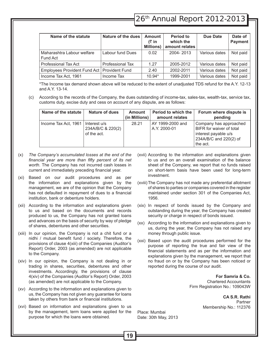# 26th Annual Report 2012-2013

| Name of the statute                           | Nature of the dues | Amount<br>(₹ in<br><b>Millions</b> ) | Period to<br>which the<br>amount relates | Due Date      | Date of<br>Payment |
|-----------------------------------------------|--------------------|--------------------------------------|------------------------------------------|---------------|--------------------|
| Maharashtra Labour welfare<br>Fund Act        | Labour fund Dues   | 0.02                                 | 2004-2013                                | Various dates | Not paid           |
| Professional Tax Act                          | Professional Tax   | 1 27                                 | 2005-2012                                | Various dates | Not paid           |
| Employees Provident Fund Act   Provident Fund |                    | 2.40                                 | 2002-2011                                | Various dates | Not paid           |
| Income Tax Act. 1961                          | Income Tax         | $10.94*$                             | 1999-2001                                | Various dates | Not paid           |

\*The Income tax demand shown above will be reduced to the extent of unadjusted TDS refund for the A.Y. 12-13 and A.Y. 13-14.

(c) According to the records of the Company, the dues outstanding of income-tax, sales-tax, wealth-tax, service tax, customs duty, excise duty and cess on account of any dispute, are as follows:

| Name of the statute  | Nature of dues                                   | Amount<br>$(in$ Millions) | Period to which the<br>amount relates | Forum where dispute is<br>pending                                                                                |
|----------------------|--------------------------------------------------|---------------------------|---------------------------------------|------------------------------------------------------------------------------------------------------------------|
| Income Tax Act. 1961 | Interest u/s<br>234A/B/C & 220(2)<br>of the act. | 28.21                     | AY 1999-2000 and<br>A.Y. 2000-01      | Company has approached<br>BIFR for waiver of total<br>interest payable u/s<br>234A/B/C and 220(2) of<br>the act. |

- (x) *The Company's accumulated losses at the end of the*  financial year are more than fifty percent of its net *worth*. The Company has not incurred cash losses in current and immediately preceding financial year.
- (xi) Based on our audit procedures and as per the information and explanations given by the management, we are of the opinion that the Company has not defaulted in repayment of dues to a financial institution, bank or debenture holders.
- (xii) According to the information and explanations given to us and based on the documents and records produced to us, the Company has not granted loans and advances on the basis of security by way of pledge of shares, debentures and other securities.
- (xiii) In our opinion, the Company is not a chit fund or a nidhi / mutual benefit fund / society. Therefore, the provisions of clause 4(xiii) of the Companies (Auditor's Report) Order, 2003 (as amended) are not applicable to the Company.
- (xiv) In our opinion, the Company is not dealing in or trading in shares, securities, debentures and other investments. Accordingly, the provisions of clause 4(xiv) of the Companies (Auditor's Report) Order, 2003 (as amended) are not applicable to the Company.
- (xv) According to the information and explanations given to us, the Company has not given any guarantee for loans taken by others from bank or financial institutions.
- (xvi) Based on information and explanations given to us by the management, term loans were applied for the purpose for which the loans were obtained.
- (xvii) According to the information and explanations given to us and on an overall examination of the balance sheet of the Company, we report that no funds raised on short-term basis have been used for long-term investment.
- (xviii)The Company has not made any preferential allotment of shares to parties or companies covered in the register maintained under section 301 of the Companies Act, 1956.
- (xix) In respect of bonds issued by the Company and outstanding during the year, the Company has created security or charge in respect of bonds issued.
- (xx) According to the information and explanations given to us, during the year, the Company has not raised any money through public issue.
- (xxi) Based upon the audit procedures performed for the purpose of reporting the true and fair view of the financial statements and as per the information and explanations given by the management, we report that no fraud on or by the Company has been noticed or reported during the course of our audit.

#### **For Samria & Co.** Chartered Accountants Firm Registration No.: 109043W

**CA S.R. Rathi** Partner Membership No.: 112376

Place: Mumbai Date: 30th May, 2013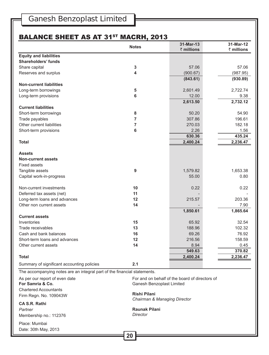# BALANCE SHEET AS AT 31<sup>ST</sup> MACRH, 2013

|                                                                          | <b>Notes</b>                 | 31-Mar-13<br>₹ millions                        | 31-Mar-12<br>₹ millions |
|--------------------------------------------------------------------------|------------------------------|------------------------------------------------|-------------------------|
| <b>Equity and liabilities</b>                                            |                              |                                                |                         |
| Shareholders' funds                                                      |                              |                                                |                         |
| Share capital                                                            | 3                            | 57.06                                          | 57.06                   |
| Reserves and surplus                                                     | 4                            | (900.67)                                       | (987.95)                |
|                                                                          |                              | (843.61)                                       | (930.89)                |
| <b>Non-current liabilities</b>                                           |                              |                                                |                         |
| Long-term borrowings                                                     | 5                            | 2,601.49                                       | 2,722.74                |
| Long-term provisions                                                     | 6                            | 12.00                                          | 9.38                    |
| <b>Current liabilities</b>                                               |                              | 2,613.50                                       | 2,732.12                |
|                                                                          |                              |                                                |                         |
| Short-term borrowings                                                    | 8<br>$\overline{7}$          | 50.20                                          | 54.90                   |
| Trade payables<br>Other current liabilities                              | $\overline{7}$               | 307.86<br>270.03                               | 196.61<br>182.18        |
| Short-term provisions                                                    | 6                            | 2.26                                           | 1.56                    |
|                                                                          |                              | 630.36                                         | 435.24                  |
| <b>Total</b>                                                             |                              | 2,400.24                                       | 2,236.47                |
|                                                                          |                              |                                                |                         |
| <b>Assets</b>                                                            |                              |                                                |                         |
| <b>Non-current assets</b>                                                |                              |                                                |                         |
| <b>Fixed assets</b>                                                      |                              |                                                |                         |
| Tangible assets                                                          | 9                            | 1,579.82                                       | 1,653.38                |
| Capital work-in-progress                                                 |                              | 55.00                                          | 0.80                    |
|                                                                          |                              |                                                |                         |
| Non-current investments                                                  | 10                           | 0.22                                           | 0.22                    |
| Deferred tax assets (net)                                                | 11                           |                                                |                         |
| Long-term loans and advances                                             | 12                           | 215.57                                         | 203.36                  |
| Other non current assets                                                 | 14                           |                                                | 7.90                    |
|                                                                          |                              | 1,850.61                                       | 1,865.64                |
| <b>Current assets</b>                                                    |                              |                                                |                         |
| Inventories                                                              | 15                           | 65.92                                          | 32.54                   |
| Trade receivables                                                        | 13                           | 188.96                                         | 102.32                  |
| Cash and bank balances                                                   | 16                           | 69.26                                          | 76.92                   |
| Short-term loans and advances                                            | 12                           | 216.56                                         | 158.59                  |
| Other current assets                                                     | 14                           | 8.94                                           | 0.45                    |
|                                                                          |                              | 549.63                                         | 370.82                  |
| <b>Total</b>                                                             |                              | 2,400.24                                       | 2,236.47                |
| Summary of significant accounting policies                               | 2.1                          |                                                |                         |
| The accompanying notes are an integral part of the financial statements. |                              |                                                |                         |
| As per our report of even date<br>For Samria & Co.                       | Ganesh Benzoplast Limited    | For and on behalf of the board of directors of |                         |
| <b>Chartered Accountants</b>                                             |                              |                                                |                         |
| Firm Regn. No. 109043W                                                   | <b>Rishi Pilani</b>          |                                                |                         |
|                                                                          | Chairman & Managing Director |                                                |                         |
| <b>CA S.R. Rathi</b>                                                     |                              |                                                |                         |
| Partner                                                                  | Raunak Pilani                |                                                |                         |
| Membership no.: 112376                                                   | Director                     |                                                |                         |
| Place: Mumbai                                                            |                              |                                                |                         |

**20**

Date: 30th May, 2013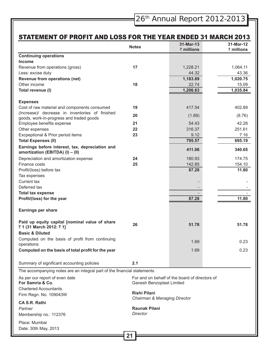26th Annual Report 2012-2013

| <b>STATEMENT OF PROFIT AND LOSS FOR THE YEAR ENDED 31 MARCH 2013</b>                                   |                                  |                                                |                         |
|--------------------------------------------------------------------------------------------------------|----------------------------------|------------------------------------------------|-------------------------|
|                                                                                                        | <b>Notes</b>                     | 31-Mar-13<br>$\bar{z}$ millions                | 31-Mar-12<br>₹ millions |
| <b>Continuing operations</b>                                                                           |                                  |                                                |                         |
| <b>Income</b>                                                                                          |                                  |                                                |                         |
| Revenue from operations (gross)                                                                        | 17                               | 1,228.21                                       | 1,064.11                |
| Less: excise duty                                                                                      |                                  | 44.32                                          | 43.36                   |
| Revenue from operations (net)                                                                          |                                  | 1,183.89                                       | 1,020.75                |
| Other income                                                                                           | 18                               | 22.74                                          | 15.09                   |
| Total revenue (I)                                                                                      |                                  | 1,206.63                                       | 1,035.84                |
| <b>Expenses</b>                                                                                        |                                  |                                                |                         |
| Cost of raw material and components consumed                                                           | 19                               | 417.54                                         | 402.89                  |
| (Increase)/ decrease in inventories of finished                                                        | 20                               | (1.89)                                         | (8.76)                  |
| goods, work-in-progress and traded goods                                                               |                                  |                                                |                         |
| Employee benefits expense                                                                              | 21                               | 54.43                                          | 42.28                   |
| Other expenses                                                                                         | 22                               | 316.37                                         | 251.61                  |
| Excpeptional & Prior period items                                                                      | 23                               | 9.12                                           | 7.16                    |
| <b>Total Expenses (II)</b>                                                                             |                                  | 795.57                                         | 695.19                  |
| Earnings before interest, tax, depreciation and<br>amortization (EBITDA) (I) - (II)                    |                                  | 411.06                                         | 340.65                  |
| Depreciation and amortization expense                                                                  | 24                               | 180.93                                         | 174.75                  |
| Finance costs                                                                                          | 25                               | 142.85                                         | 154.10                  |
| Profit/(loss) before tax                                                                               |                                  | 87.28                                          | 11.80                   |
| Tax expenses                                                                                           |                                  |                                                |                         |
| Current tax                                                                                            |                                  |                                                |                         |
| Deferred tax                                                                                           |                                  |                                                |                         |
| <b>Total tax expense</b>                                                                               |                                  |                                                |                         |
| Profit/(loss) for the year                                                                             |                                  | 87.28                                          | 11.80                   |
| <b>Earnings per share</b>                                                                              |                                  |                                                |                         |
| Paid up equity capital [nominal value of share<br>₹1 (31 March 2012: ₹1]<br><b>Basic &amp; Diluted</b> | 26                               | 51.78                                          | 51.78                   |
|                                                                                                        |                                  |                                                |                         |
| Computed on the basis of profit from continuing<br>operations                                          |                                  | 1.69                                           | 0.23                    |
| Computed on the basis of total profit for the year                                                     |                                  | 1.69                                           | 0.23                    |
|                                                                                                        |                                  |                                                |                         |
| Summary of significant accounting policies                                                             | 2.1                              |                                                |                         |
| The accompanying notes are an integral part of the financial statements.                               |                                  |                                                |                         |
| As per our report of even date<br>For Samria & Co.                                                     | Ganesh Benzoplast Limited        | For and on behalf of the board of directors of |                         |
| <b>Chartered Accountants</b>                                                                           |                                  |                                                |                         |
| Firm Regn. No. 109043W                                                                                 | Rishi Pilani                     |                                                |                         |
|                                                                                                        | Chairman & Managing Director     |                                                |                         |
| <b>CAS.R. Rathi</b>                                                                                    |                                  |                                                |                         |
| Partner<br>Membership no.: 112376                                                                      | <b>Raunak Pilani</b><br>Director |                                                |                         |
| Place: Mumbai                                                                                          |                                  |                                                |                         |
| Date: 30th May, 2013                                                                                   |                                  |                                                |                         |
|                                                                                                        | 21                               |                                                |                         |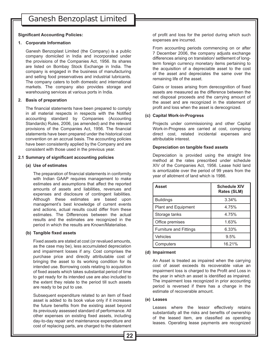#### **Significant Accounting Policies:**

#### **1. Corporate Information**

Ganesh Benzoplast Limited (the Company) is a public company domiciled in India and incorporated under the provisions of the Companies Act, 1956. Its shares are listed on Bombay Stock Exchange in India. The company is engaged in the business of manufacturing and selling food preservatives and industrial lubricants. The company caters to both domestic and international markets. The company also provides storage and warehousing services at various ports in India.

#### **2. Basis of preparation**

The financial statements have been prepared to comply in all material respects in respects with the Notified accounting standard by Companies (Accounting Standards) Rules, 2006, (as amended) and the relevant provisions of the Companies Act, 1956. The financial statements have been prepared under the historical cost convention on an accrual basis. The accounting policies have been consistently applied by the Company and are consistent with those used in the previous year.

#### **2.1 Summary of significant accounting policies**

#### **(a) Use of estimates**

The preparation of financial statements in conformity with Indian GAAP requires management to make estimates and assumptions that affect the reported amounts of assets and liabilities, revenues and expenses and disclosure of contingent liabilities. Although these estimates are based upon management's best knowledge of current events and actions, actual results could differ from these estimates. The Differences between the actual results and the estimates are recognized in the period in which the results are Known/Materialise.

#### **(b) Tangible fixed assets**

Fixed assets are stated at cost (or revalued amounts, as the case may be), less accumulated depreciation and impairment losses if any. Cost comprises the purchase price and directly attributable cost of bringing the asset to its working condition for its intended use. Borrowing costs relating to acquisition of fixed assets which takes substantial period of time to get ready for its intended use are also included to the extent they relate to the period till such assets are ready to be put to use.

Subsequent expenditure related to an item of fixed asset is added to its book value only if it increases the future benefits from the existing asset beyond its previously assessed standard of performance. All other expenses on existing fixed assets, including day-to-day repair and maintenance expenditure and cost of replacing parts, are charged to the statement of profit and loss for the period during which such expenses are incurred.

From accounting periods commencing on or after 7 December 2006, the company adjusts exchange differences arising on translation/ settlement of longterm foreign currency monetary items pertaining to the acquisition of a depreciable asset to the cost of the asset and depreciates the same over the remaining life of the asset.

Gains or losses arising from derecognition of fixed assets are measured as the difference between the net disposal proceeds and the carrying amount of the asset and are recognized in the statement of profit and loss when the asset is derecognized.

#### **(c) Capital Work-in-Progress**

Projects under commissioning and other Capital Work-in-Progress are carried at cost, comprising direct cost, related incidental expenses and attributable interest.

#### **Depreciation on tangible fixed assets**

Depreciation is provided using the straight line method at the rates prescribed under schedule XIV of the Companies Act, 1956. Lease hold land is amortizable over the period of 99 years from the year of allotment of land which is 1986.

| Asset                         | <b>Schedule XIV</b><br>Rates (SLM) |
|-------------------------------|------------------------------------|
| <b>Buildings</b>              | 3.34%                              |
| Plant and Equipment           | 4.75%                              |
| Storage tanks                 | 4.75%                              |
| Office premises               | 1.63%                              |
| <b>Furniture and Fittings</b> | 6.33%                              |
| Vehicles                      | 9.5%                               |
| Computers                     | 16.21%                             |

#### **(d) Impairment**

An Asset is treated as impaired when the carrying cost of asset exceeds its recoverable value an impairment loss is charged to the Profit and Loss in the year in which an asset is identified as impaired. The impairment loss recognized in prior accounting period is reversed if there has a change in the estimate of recoverable amount.

#### **(e) Leases**

Leases where the lessor effectively retains substantially all the risks and benefits of ownership of the leased item, are classified as operating leases. Operating lease payments are recognized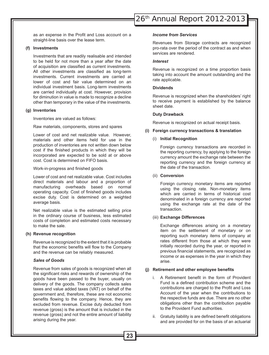as an expense in the Profit and Loss account on a straight-line basis over the lease term.

#### **(f) Investments**

Investments that are readily realisable and intended to be held for not more than a year after the date of acquisition are classified as current investments. All other investments are classified as long-term investments. Current investments are carried at lower of cost and fair value determined on an individual investment basis. Long-term investments are carried individually at cost. However, provision for diminution in value is made to recognize a decline other than temporary in the value of the investments.

#### **(g) Inventories**

Inventories are valued as follows:

Raw materials, components, stores and spares

Lower of cost and net realizable value. However, materials and other items held for use in the production of inventories are not written down below cost if the finished products in which they will be incorporated are expected to be sold at or above cost. Cost is determined on FIFO basis.

Work-in-progress and finished goods

Lower of cost and net realizable value. Cost includes direct materials and labour and a proportion of manufacturing overheads based on normal operating capacity. Cost of finished goods includes excise duty. Cost is determined on a weighted average basis.

Net realizable value is the estimated selling price in the ordinary course of business, less estimated costs of completion and estimated costs necessary to make the sale.

#### **(h) Revenue recognition**

Revenue is recognized to the extent that it is probable that the economic benefits will flow to the Company and the revenue can be reliably measured.

#### *Sales of Goods*

Revenue from sales of goods is recognized when all the significant risks and rewards of ownership of the goods have been passed to the buyer, usually on delivery of the goods. The company collects sales taxes and value added taxes (VAT) on behalf of the government and, therefore, these are not economic benefits flowing to the company. Hence, they are excluded from revenue. Excise duty deducted from revenue (gross) is the amount that is included in the revenue (gross) and not the entire amount of liability arising during the year.

#### *Income from Services*

Revenues from Storage contracts are recognized pro-rata over the period of the contract as and when services are rendered.

#### *Interest*

Revenue is recognized on a time proportion basis taking into account the amount outstanding and the rate applicable.

#### **Dividends**

Revenue is recognized when the shareholders' right to receive payment is established by the balance sheet date.

#### **Duty Drawback**

Revenue is recognized on actual receipt basis.

#### **(i) Foreign currency transactions & translation**

(i) **Initial Recognition**

Foreign currency transactions are recorded in the reporting currency, by applying to the foreign currency amount the exchange rate between the reporting currency and the foreign currency at the date of the transaction.

#### (ii) **Conversion**

Foreign currency monetary items are reported using the closing rate. Non-monetary items which are carried in terms of historical cost denominated in a foreign currency are reported using the exchange rate at the date of the transaction.

#### (iii) **Exchange Differences**

Exchange differences arising on a monetary item on the settlement of monetary or on reporting such monetary items of company at rates different from those at which they were initially recorded during the year, or reported in previous financial statements, are recognized as income or as expenses in the year in which they arise.

#### **(j) Retirement and other employee benefits**

- i. A Retirement benefit in the form of Provident Fund is a defined contribution scheme and the contributions are charged to the Profit and Loss Account of the year when the contributions to the respective funds are due. There are no other obligations other than the contribution payable to the Provident Fund authorities.
- ii. Gratuity liability is are defined benefit obligations and are provided for on the basis of an actuarial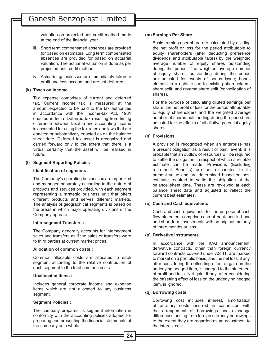# Ganesh Benzoplast Limited

valuation on projected unit credit method made at the end of the financial year

- iii. Short term compensated absences are provided for based on estimates. Long term compensated absences are provided for based on actuarial valuation. The actuarial valuation is done as per projected unit credit method.
- iv. Actuarial gains/losses are immediately taken to profit and loss account and are not deferred.

#### **(k) Taxes on Income**

Tax expense comprises of current and deferred tax. Current income tax is measured at the amount expected to be paid to the tax authorities in accordance with the Income-tax Act, 1961 enacted in India .Deferred tax resulting from timing difference between taxable and accounting income is accounted for using the tax rates and laws that are enacted or substantively enacted as on the balance sheet date. Deferred tax asset is recognized and carried forward only to the extent that there is a virtual certainty that the asset will be realised in future.

#### **(l) Segment Reporting Policies**

#### **Identification of segments :**

The Company's operating businesses are organized and managed separately according to the nature of products and services provided, with each segment representing a strategic business unit that offers different products and serves different markets. The analysis of geographical segments is based on the areas in which major operating divisions of the Company operate.

#### **Inter segment Transfers :**

The Company generally accounts for intersegment sales and transfers as if the sales or transfers were to third parties at current market prices.

#### **Allocation of common costs :**

Common allocable costs are allocated to each segment according to the relative contribution of each segment to the total common costs.

#### **Unallocated items :**

Includes general corporate income and expense items which are not allocated to any business segment.

#### **Segment Policies :**

The company prepares its segment information in conformity with the accounting policies adopted for preparing and presenting the financial statements of the company as a whole.

#### **(m) Earnings Per Share**

Basic earnings per share are calculated by dividing the net profit or loss for the period attributable to equity shareholders (after deducting preference dividends and attributable taxes) by the weighted average number of equity shares outstanding during the period. The weighted average number of equity shares outstanding during the period are adjusted for events of bonus issue; bonus element in a rights issue to existing shareholders; share split; and reverse share split (consolidation of shares).

 For the purpose of calculating diluted earnings per share, the net profit or loss for the period attributable to equity shareholders and the weighted average number of shares outstanding during the period are adjusted for the effects of all dilutive potential equity shares.

#### **(n) Provisions**

A provision is recognized when an enterprise has a present obligation as a result of past event; it is probable that an outflow of resources will be required to settle the obligation, in respect of which a reliable estimate can be made. Provisions (Excluding retirement Benefits) are not discounted to its present value and are determined based on best estimate required to settle the obligation at the balance sheet date. These are reviewed at each balance sheet date and adjusted to reflect the current best estimates.

#### **(o) Cash and Cash equivalents**

Cash and cash equivalents for the purpose of cash flow statement comprise cash at bank and in hand and short-term investments with an original maturity of three months or less

#### **(p) Derivative instruments**

In accordance with the ICAI announcement, derivative contracts, other than foreign currency forward contracts covered under AS 11, are marked to market on a portfolio basis, and the net loss, if any, after considering the offsetting effect of gain on the underlying hedged item, is charged to the statement of profit and loss. Net gain, if any, after considering the offsetting effect of loss on the underlying hedged item, is ignored.

#### **(q) Borrowing costs**

Borrowing cost includes interest, amortization of ancillary costs incurred in connection with the arrangement of borrowings and exchange differences arising from foreign currency borrowings to the extent they are regarded as an adjustment to the interest cost.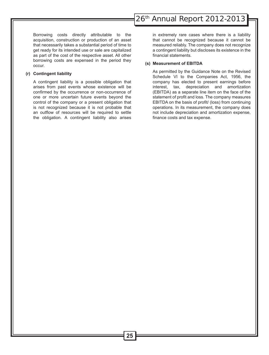Borrowing costs directly attributable to the acquisition, construction or production of an asset that necessarily takes a substantial period of time to get ready for its intended use or sale are capitalized as part of the cost of the respective asset. All other borrowing costs are expensed in the period they occur.

#### **(r) Contingent liability**

A contingent liability is a possible obligation that arises from past events whose existence will be confirmed by the occurrence or non-occurrence of one or more uncertain future events beyond the control of the company or a present obligation that is not recognized because it is not probable that an outflow of resources will be required to settle the obligation. A contingent liability also arises

in extremely rare cases where there is a liability that cannot be recognized because it cannot be measured reliably. The company does not recognize a contingent liability but discloses its existence in the financial statements.

#### **(s) Measurement of EBITDA**

As permitted by the Guidance Note on the Revised Schedule VI to the Companies Act, 1956, the company has elected to present earnings before interest, tax, depreciation and amortization (EBITDA) as a separate line item on the face of the statement of profit and loss. The company measures EBITDA on the basis of profit/ (loss) from continuing operations. In its measurement, the company does not include depreciation and amortization expense, finance costs and tax expense.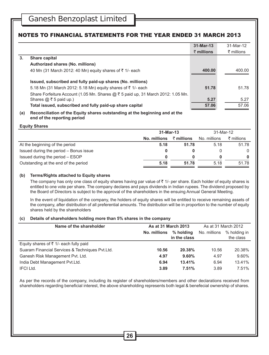|    |                                                                                             | 31-Mar-13             | 31-Mar-12  |
|----|---------------------------------------------------------------------------------------------|-----------------------|------------|
|    |                                                                                             | $\bar{\tau}$ millions | ₹ millions |
| 3. | Share capital                                                                               |                       |            |
|    | Authorized shares (No. millions)                                                            |                       |            |
|    | 40 Mn (31 March 2012: 40 Mn) equity shares of ₹1/- each                                     | 400.00                | 400.00     |
|    | Issued, subscribed and fully paid-up shares (No. millions)                                  |                       |            |
|    | 5.18 Mn (31 March 2012: 5.18 Mn) equity shares of ₹1/- each                                 | 51.78                 | 51.78      |
|    | Share Forfeiture Account (1.05 Mn. Shares @ $\bar{\tau}$ 5 paid up, 31 March 2012: 1.05 Mn. |                       |            |
|    | Shares $@ \bar{z} 5$ paid up.)                                                              | 5.27                  | 5.27       |
|    | Total issued, subscribed and fully paid-up share capital                                    | 57.06                 | 57.06      |
|    | (a) Decensiliation of the Equity obeyer outstanding of the beginning and of the             |                       |            |

#### **(a) Reconciliation of the Equity shares outstanding at the beginning and at the end of the reporting period**

#### **Equity Shares**

|                                        | 31-Mar-13    |                       | 31-Mar-12    |                       |
|----------------------------------------|--------------|-----------------------|--------------|-----------------------|
|                                        | No. millions | $\bar{\tau}$ millions | No. millions | $\bar{\tau}$ millions |
| At the beginning of the period         | 5.18         | 51.78                 | 5.18         | 51.78                 |
| Issued during the period - Bonus issue |              | 0                     |              | 0                     |
| Issued during the period - ESOP        |              | n                     |              | $\bf{0}$              |
| Outstanding at the end of the period   | 5.18         | 51.78                 | 5 1 8        | 51.78                 |

#### **(b) Terms/Rights attached to Equity shares**

The company has only one class of equity shares having par value of  $\bar{\tau}$  1/- per share. Each holder of equity shares is entitled to one vote per share. The company declares and pays dividends in Indian rupees. The dividend proposed by the Board of Directors is subject to the approval of the shareholders in the ensuing Annual General Meeting.

In the event of liquidation of the company, the holders of equity shares will be entitled to receive remaining assets of the company, after distribution of all preferential amounts. The distribution will be in proportion to the number of equity shares held by the shareholders

#### **(c) Details of shareholders holding more than 5% shares in the company**

| Name of the shareholder                          | As at 31 March 2013 |              |              | As at 31 March 2012 |
|--------------------------------------------------|---------------------|--------------|--------------|---------------------|
|                                                  | No. millions        | % holding    | No. millions | % holding in        |
|                                                  |                     | in the class |              | the class           |
| Equity shares of ₹ 1/- each fully paid           |                     |              |              |                     |
| Suaram Financial Services & Techniques Pvt. Ltd. | 10.56               | 20.38%       | 10.56        | 20.38%              |
| Ganesh Risk Management Pvt. Ltd.                 | 4.97                | 9.60%        | 4.97         | 9.60%               |
| India Debt Management Pvt.Ltd.                   | 6.94                | 13.41%       | 6.94         | 13.41%              |
| IFCI Ltd.                                        | 3.89                | 7.51%        | 3.89         | 7.51%               |

As per the records of the company, including its register of shareholders/members and other declarations received from shareholders regarding beneficial interest, the above shareholding represents both legal & benefecial ownership of shares.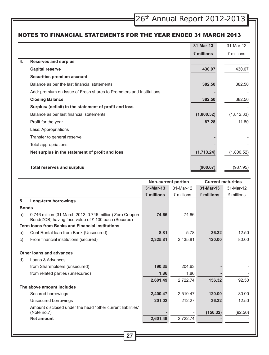|    |                                                                     | 31-Mar-13             | 31-Mar-12             |
|----|---------------------------------------------------------------------|-----------------------|-----------------------|
|    |                                                                     | $\bar{\tau}$ millions | $\bar{\tau}$ millions |
| 4. | <b>Reserves and surplus</b>                                         |                       |                       |
|    | <b>Capital reserve</b>                                              | 430.07                | 430.07                |
|    | Securities premium account                                          |                       |                       |
|    | Balance as per the last financial statements                        | 382.50                | 382.50                |
|    | Add: premium on Issue of Fresh shares to Promoters and Institutions |                       |                       |
|    | <b>Closing Balance</b>                                              | 382.50                | 382.50                |
|    | Surplus/ (deficit) in the statement of profit and loss              |                       |                       |
|    | Balance as per last financial statements                            | (1,800.52)            | (1,812.33)            |
|    | Profit for the year                                                 | 87.28                 | 11.80                 |
|    | Less: Appropriations                                                |                       |                       |
|    | Transfer to general reserve                                         |                       |                       |
|    | Total appropriations                                                |                       |                       |
|    | Net surplus in the statement of profit and loss                     | (1,713.24)            | (1,800.52)            |
|    | Total reserves and surplus                                          | (900.67)              | (987.95)              |

|              |                                                                                                                | Non-current portion |                       | <b>Current maturities</b> |                       |
|--------------|----------------------------------------------------------------------------------------------------------------|---------------------|-----------------------|---------------------------|-----------------------|
|              |                                                                                                                | 31-Mar-13           | 31-Mar-12             | 31-Mar-13                 | 31-Mar-12             |
|              |                                                                                                                | $\bar{z}$ millions  | $\bar{\tau}$ millions | $\bar{z}$ millions        | $\bar{\tau}$ millions |
| 5.           | Long-term borrowings                                                                                           |                     |                       |                           |                       |
| <b>Bonds</b> |                                                                                                                |                     |                       |                           |                       |
| a)           | 0.746 million (31 March 2012: 0.746 million) Zero Coupon<br>Bond(ZCB) having face value of ₹100 each (Secured) | 74.66               | 74 66                 |                           |                       |
|              | <b>Term Joans from Banks and Financial Institutions</b>                                                        |                     |                       |                           |                       |
| b)           | Cent Rental Ioan from Bank (Unsecured)                                                                         | 8.81                | 5.78                  | 36.32                     | 12.50                 |
| C)           | From financial institutions (secured)                                                                          | 2.325.81            | 2.435.81              | 120.00                    | 80.00                 |
|              | Other loans and advances                                                                                       |                     |                       |                           |                       |
| d)           | Loans & Advances                                                                                               |                     |                       |                           |                       |
|              | from Shareholders (unsecured)                                                                                  | 190.35              | 204.63                |                           |                       |
|              | from related parties (unsecured)                                                                               | 1.86                | 1.86                  |                           |                       |
|              |                                                                                                                | 2,601.49            | 2.722.74              | 156.32                    | 92.50                 |
|              | The above amount includes                                                                                      |                     |                       |                           |                       |
|              | Secured borrowings                                                                                             | 2.400.47            | 2,510.47              | 120.00                    | 80.00                 |
|              | Unsecured borrowings                                                                                           | 201.02              | 212.27                | 36.32                     | 12.50                 |
|              | Amount disclosed under the head "other current liabilities"<br>(Note $no.7$ )<br><b>Net amount</b>             | 2,601.49            | 2,722.74              | (156.32)                  | (92.50)               |
|              |                                                                                                                |                     |                       |                           |                       |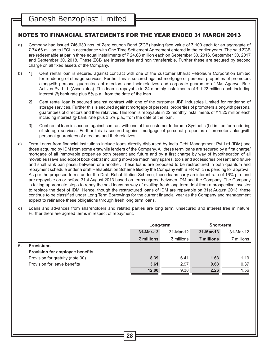- a) Company had issued 746,630 nos, of Zero coupon Bond (ZCB) having face value of  $\bar{z}$  100 each for an aggregate of ` 74.66 million to IFCI in accordance with One Time Settlement Agreement entered in the earlier years. The said ZCB are redeemable at par in three equal installments of ₹ 24.88 million each on September 30, 2016, September 30, 2017 and September 30, 2018. These ZCB are interest free and non transferable. Further these are secured by second charge on all fixed assets of the Company.
- b) 1] Cent rental loan is secured against contract with one of the customer Bharat Petroleum Corporation Limited for rendering of storage services. Further this is secured against mortgage of personal properties of promoters alongwith personal guarantees of directors and their relatives and corporate guarantee of M/s Agarwal Bulk Actives Pvt Ltd. (Associates). This loan is repayable in 24 monthly installments of  $\bar{\tau}$  1.22 million each including interest @ bank rate plus 5% p.a., from the date of the loan.
	- 2] Cent rental loan is secured against contract with one of the customer JBF Industries Limited for rendering of storage services. Further this is secured against mortgage of personal properties of promoters alongwith personal guarantees of directors and their relatives. This loan is repayable in 22 monthly installments of  $\bar{\tau}$  1.25 million each including interest @ bank rate plus 3.5% p.a., from the date of the loan.
	- 3] Cent rental loan is secured against contract with one of the customer Indorama Synthetic (I) Limited for rendering of storage services. Further this is secured against mortgage of personal properties of promoters alongwith personal guarantees of directors and their relatives.
- c) Term Loans from financial institutions include loans directly disbursed by India Debt Management Pvt Lrd (IDM) and those acquired by IDM from some erstwhile lenders of the Company. All these term loans are secured by a first charge/ mortgage of all immovable properties both present and future and by a first charge by way of hypothecation of all movables (save and except book debts) including movable machinery spares, tools and accessories present and future and shall rank pari passu between one another. These loans are proposed to be restructured in both quantum and repayment schedule under a draft Rehabilitation Scheme filed by the Company with BIFR which is pending for approval. As per the proposed terms under the Draft Rehabilitation Scheme, these loans carry an interest rate of 16% p.a. and are repayable on or before 31st August,2013 based on terms agreed between IDM and the Company. The Company is taking appropriate steps to repay the said loans by way of availing fresh long term debt from a prospective investor to replace the debt of IDM. Hence, though the restructured loans of IDM are repayable on 31st August 2013, these continue to be classified under Long Term Borrowings for the current financial year as the Company and management expect to refinance these obligations through fresh long term loans.
- d) Loans and advances from shareholders and related parties are long term, unsecured and interest free in nature. Further there are agreed terms in respect of repayment.

|    |                                  |                       | Long-term  |                    | Short-term |
|----|----------------------------------|-----------------------|------------|--------------------|------------|
|    |                                  | 31-Mar-13             | 31-Mar-12  | 31-Mar-13          | 31-Mar-12  |
|    |                                  | $\bar{\tau}$ millions | ₹ millions | $\bar{z}$ millions | ₹ millions |
| 6. | <b>Provisions</b>                |                       |            |                    |            |
|    | Provision for employee benefits  |                       |            |                    |            |
|    | Provision for gratuity (note 30) | 8.39                  | 6.41       | 1.63               | 1.19       |
|    | Provision for leave benefits     | 3.61                  | 2.97       | 0.63               | 0.37       |
|    |                                  | 12.00                 | 9.38       | 2.26               | 1.56       |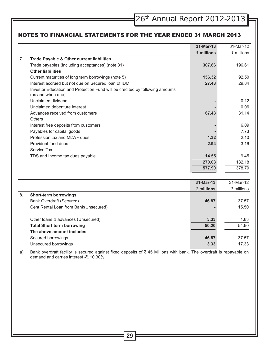26<sup>th</sup> Annual Report 2012-2013

|                  |                                                                                                   | 31-Mar-13             | 31-Mar-12  |
|------------------|---------------------------------------------------------------------------------------------------|-----------------------|------------|
|                  |                                                                                                   | $\bar{\tau}$ millions | ₹ millions |
| $\overline{7}$ . | Trade Payable & Other current liabilities                                                         |                       |            |
|                  | Trade payables (including acceptances) (note 31)                                                  | 307.86                | 196.61     |
|                  | <b>Other liabilities</b>                                                                          |                       |            |
|                  | Current maturities of long term borrowings (note 5)                                               | 156.32                | 92.50      |
|                  | Interest accrued but not due on Secured loan of IDM.                                              | 27.48                 | 29.84      |
|                  | Investor Education and Protection Fund will be credited by following amounts<br>(as and when due) |                       |            |
|                  | Unclaimed dividend                                                                                |                       | 0.12       |
|                  | Unclaimed debenture interest                                                                      |                       | 0.06       |
|                  | Advances received from customers                                                                  | 67.43                 | 31.14      |
|                  | Others                                                                                            |                       |            |
|                  | Interest free deposits from customers                                                             |                       | 6.09       |
|                  | Payables for capital goods                                                                        |                       | 7.73       |
|                  | Profession tax and MLWF dues                                                                      | 1.32                  | 2.10       |
|                  | Provident fund dues                                                                               | 2.94                  | 3.16       |
|                  | Service Tax                                                                                       |                       |            |
|                  | TDS and Income tax dues payable                                                                   | 14.55                 | 9.45       |
|                  |                                                                                                   | 270.03                | 182.18     |
|                  |                                                                                                   | 577.90                | 378.79     |
|                  |                                                                                                   |                       |            |
|                  |                                                                                                   | 31-Mar-13             | 31-Mar-12  |
|                  |                                                                                                   | $\bar{z}$ millions    | ₹ millions |
| 8.               | Short-term borrowings                                                                             |                       |            |
|                  | Bank Overdraft (Secured)                                                                          | 46.87                 | 37.57      |
|                  | Cent Rental Loan from Bank(Unsecured)                                                             |                       | 15.50      |
|                  | Other loans & advances (Unsecured)                                                                | 3.33                  | 1.83       |
|                  | <b>Total Short term borrowing</b>                                                                 | 50.20                 | 54.90      |
|                  | The above amount includes                                                                         |                       |            |
|                  | Secured borrowings                                                                                | 46.87                 | 37.57      |
|                  | Unsecured borrowings                                                                              | 3.33                  | 17.33      |

a) Bank overdraft facility is secured against fixed deposits of  $\bar{z}$  45 Millions with bank. The overdraft is repayable on demand and carries interest @ 10.30%.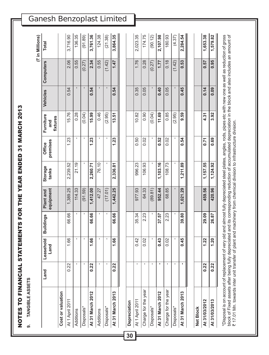|                     | Land              | Leasehold<br>Land | <b>Buildings</b> | equipment<br>Plant and | Storage<br>tanks | premises<br>Office | Furniture<br>fixtures<br>and | Vehicles       | Computers | Total    |
|---------------------|-------------------|-------------------|------------------|------------------------|------------------|--------------------|------------------------------|----------------|-----------|----------|
| Cost or valuation   |                   |                   |                  |                        |                  |                    |                              |                |           |          |
| At 1 April 2011     | 22<br>$\circ$     | 1.66              | 66.66            | 1,389.25               | 2,239.52         | 1.23               | 15.76                        | 0.54           | 2.06      | 3,716.90 |
| Additions           | Ţ                 | $\mathbf{I}$      | $\mathbf{I}$     | 114.33                 | 21.19            | $\mathbf{I}$       | 0.28                         |                | 0.55      | 136.35   |
| Disposals*          |                   |                   | $\mathbf{I}$     | (91.59)                |                  |                    | (0.04)                       |                | (0.27)    | (91.89)  |
| At 31 March 2012    | $\mathbf{z}$<br>0 | 1.66              | 66.66            | 1,412.00               | 2,260.71         | 1.23               | 15.99                        | 0.54           | 2.34      | 3,761.36 |
| Additions           | Ţ                 | $\mathbf{I}$      |                  | 47.27                  | 76.10            | J.                 | 0.46                         |                | 0.55      | 124.38   |
| Disposals*          | $\,$              | $\blacksquare$    | $\mathsf I$      | (17.01)                |                  | $\blacksquare$     | (2.95)                       |                | (1.42)    | (21.38)  |
| At 31 March 2013    | $\mathbf{z}$<br>0 | 1.66              | 66.66            | 1,442.25               | 2,336.81         | 1.23               | 13.51                        | 0.54           | 1.47      | 3,864.35 |
| Depreciation        |                   |                   |                  |                        |                  |                    |                              |                |           |          |
|                     |                   |                   |                  |                        |                  |                    |                              |                |           |          |
| At 1 April 2011     | $\mathbf{I}$      | 0.42              | 35.34            | 977.93                 | 996.23           | 0.50               | 10.82                        | 0.35           | 1.76      | 2,023.35 |
| Charge for the year | $\blacksquare$    | 0.02              | 2.23             | 64.33                  | 106.93           | 0.02               | 0.90                         | 0.05           | 0.28      | 174.75   |
| Disposals*          | $\mathbf{I}$      |                   |                  | (89.81)                |                  |                    | (0.04)                       |                | (0.27)    | (90.12)  |
| At 31 March 2012    | $\blacksquare$    | 0.43              | 37.57            | 952.44                 | 1,103.16         | 0.52               | 11.69                        | 0.40           | 1.77      | 2,107.98 |
| Charge for the year | $\mathbf{I}$      | 0.02              | 2.23             | 68.85                  | 108.73           | 0.02               | 0.85                         | 0.05           | 0.18      | 180.93   |
| Disposals*          | $\mathsf I$       | $\mathsf I$       | $\blacksquare$   |                        |                  | $\mathsf I$        | (2.95)                       | $\blacksquare$ | (1.42)    | (4.37)   |
| At 31 March 2013    | f,                | 0.45              | 39.80            | 1,021.29               | 1,211.89         | 0.54               | 9.59                         | 0.45           | 0.53      | 2,284.54 |
|                     |                   |                   |                  |                        |                  |                    |                              |                |           |          |
| Net Block           |                   |                   |                  |                        |                  |                    |                              |                |           |          |
| At 31/03/2012       | $\mathbf{z}$<br>o | 1.22              | 29.09            | 459.56                 | 1,157.55         | 771                | 4.31                         | 0.14           | 0.57      | 1,653.38 |
| At 31/03/2013       | $\mathbf{z}$<br>0 | 1.20              | 26.87            | 420.96                 | 1,124.92         | 0.69               | 3.92                         | 0.09           | 0.95      | 1,579.82 |

# Ganesh Benzoplast Limited

NOTES TO FINANCIAL STATEMENTS FOR THE YEAR ENDED 31 MARCH 2013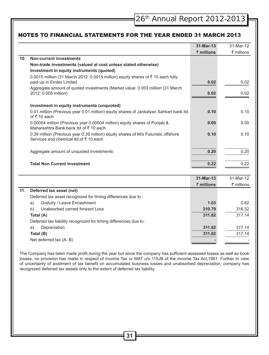26<sup>th</sup> Annual Report 2012-2013

|     |                                                                                                                             | 31-Mar-13          | 31-Mar-12  |
|-----|-----------------------------------------------------------------------------------------------------------------------------|--------------------|------------|
|     |                                                                                                                             | $\bar{z}$ millions | ₹ millions |
| 10. | <b>Non-current investments</b>                                                                                              |                    |            |
|     | Non-trade investments (valued at cost unless stated otherwise)                                                              |                    |            |
|     | Investment in equity instruments (quoted)                                                                                   |                    |            |
|     | 0.0015 million (31 March 2012: 0.0015 million) equity shares of $\bar{\tau}$ 10 each fully<br>paid-up in Emtex Limited      | 0.02               | 0.02       |
|     | Aggregate amount of quoted investments (Market value: 0.003 million (31 March)<br>2012: 0.005 million)                      | 0.02               | 0.02       |
|     | Investment in equity instruments (unquoted)                                                                                 |                    |            |
|     | 0.01 million (Previous year 0.01 million) equity shares of Jankalyan Sahkari bank Itd<br>of $\bar{z}$ 10 each               | 0.10               | 0.10       |
|     | 0.00004 million (Previous year 0.00004 million) equity shares of Punjab &<br>Maharashtra Bank bank ltd of ₹10 each          | 0.00               | 0.00       |
|     | 0.39 million (Previous year 0.39 million) equity shares of M/s Futuristic offshore<br>Services and chemical ltd of ₹10 each | 0.10               | 0.10       |
|     | Aggregate amount of unquoted investments                                                                                    | 0.20               | 0.20       |
|     | <b>Total Non Current Investment</b>                                                                                         | 0.22               | 0.22       |
|     |                                                                                                                             | 31-Mar-13          | 31-Mar-12  |
|     |                                                                                                                             | ₹ millions         | ₹ millions |
| 11. | Deferred tax asset (net)                                                                                                    |                    |            |
|     | Deferred tax asset recognized for timing differences due to:                                                                |                    |            |
|     | Gratuity / Leave Encashment<br>a)                                                                                           | 1.03               | 0.82       |
|     | Unabsorbed carried forward Loss<br>b)                                                                                       | 310.79             | 316.32     |
|     | Total (A)                                                                                                                   | 311.82             | 317.14     |
|     | Deferred tax liability recognized for timing differences due to:                                                            |                    |            |
|     | Depreciation<br>a)                                                                                                          | 311.82             | 317.14     |
|     | Total (B)                                                                                                                   | 311.82             | 317.14     |
|     | Net deferred tax (A-B)                                                                                                      |                    |            |

The Company has been made profit during the year but since the company has sufficient assessed losses as well as book losses, no provision has made in respect of Income Tax or MAT u/s 115JB of the Income Tax Act,1961. Further In view of uncertainty of availment of tax benefit on accumulated business losses and unabsorbed depreciation, company has recognized deferred tax assets only to the extent of deferred tax liability.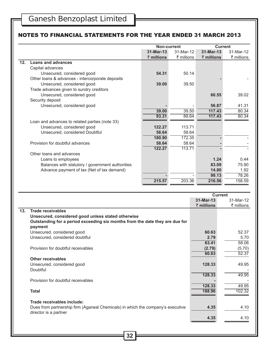|     |                                                                                 | Non-current        |                |                       | Current         |
|-----|---------------------------------------------------------------------------------|--------------------|----------------|-----------------------|-----------------|
|     |                                                                                 | 31-Mar-13          | 31-Mar-12      | 31-Mar-13             | 31-Mar-12       |
|     |                                                                                 | $\bar{z}$ millions | ₹ millions     | $\bar{\tau}$ millions | ₹ millions      |
| 12. | <b>Loans and advances</b>                                                       |                    |                |                       |                 |
|     | Capital advances                                                                |                    |                |                       |                 |
|     | Unsecured, considered good                                                      | 54.31              | 50.14          |                       |                 |
|     | Other loans & advances - intercorporate deposits                                |                    |                |                       |                 |
|     | Unsecured, considered good                                                      | 39.00              | 39.50          |                       |                 |
|     | Trade advances given to sundry creditors                                        |                    |                |                       |                 |
|     | Unsecured, considered good                                                      |                    |                | 60.55                 | 39.02           |
|     | Security deposit                                                                |                    |                |                       |                 |
|     | Unsecured, considered good                                                      |                    |                | 56.87<br>117.43       | 41.31<br>80.34  |
|     |                                                                                 | 39.00<br>93.31     | 39.50<br>89.64 | 117.43                | 80.34           |
|     | Loan and advances to related parties (note 33)                                  |                    |                |                       |                 |
|     | Unsecured, considered good                                                      | 122.27             | 113.71         |                       |                 |
|     | Unsecured, considered Doubtful                                                  | 58.64              | 58.64          |                       |                 |
|     |                                                                                 | 180.90             | 172.35         |                       |                 |
|     | Provision for doubtful advances                                                 | 58.64              | 58.64          |                       |                 |
|     |                                                                                 | 122.27             | 113.71         |                       |                 |
|     | Other loans and advances                                                        |                    |                |                       |                 |
|     | Loans to employees                                                              |                    |                | 1.24                  | 0.44            |
|     | Balances with statutory / government authorities                                |                    |                | 83.09                 | 75.90           |
|     | Advance payment of tax (Net of tax demand)                                      |                    |                | 14.80                 | 1.92            |
|     |                                                                                 |                    |                | 99.13                 | 78.26           |
|     |                                                                                 | 215.57             | 203.36         | 216.56                | 158.59          |
|     |                                                                                 |                    |                |                       |                 |
|     |                                                                                 |                    |                | <b>Current</b>        |                 |
|     |                                                                                 |                    |                | 31-Mar-13             | 31-Mar-12       |
|     |                                                                                 |                    |                | ₹ millions            | ₹ millions      |
| 13. | <b>Trade receivables</b>                                                        |                    |                |                       |                 |
|     | Unsecured, considered good unless stated otherwise                              |                    |                |                       |                 |
|     | Outstanding for a period exceeding six months from the date they are due for    |                    |                |                       |                 |
|     | payment                                                                         |                    |                |                       |                 |
|     | Unsecured, considered good                                                      |                    |                | 60.63                 | 52.37           |
|     | Unsecured, considered doubtful                                                  |                    |                | 2.79                  | 5.70            |
|     | Provision for doubtful receivables                                              |                    |                | 63.41                 | 58.06           |
|     |                                                                                 |                    |                | (2.79)<br>60.63       | (5.70)<br>52.37 |
|     | <b>Other receivables</b>                                                        |                    |                |                       |                 |
|     | Unsecured, considered good                                                      |                    |                | 128.33                | 49.95           |
|     | Doubtful                                                                        |                    |                |                       |                 |
|     |                                                                                 |                    |                | 128.33                | 49.95           |
|     | Provision for doubtful receivables                                              |                    |                |                       |                 |
|     |                                                                                 |                    |                | 128.33                | 49.95           |
|     | <b>Total</b>                                                                    |                    |                | 188.96                | 102.32          |
|     |                                                                                 |                    |                |                       |                 |
|     | Trade receivables include:                                                      |                    |                |                       |                 |
|     | Dues from partnership firm (Agarwal Chemicals) in which the company's executive |                    |                | 4.35                  | 4.10            |
|     | director is a partner                                                           |                    |                |                       |                 |
|     |                                                                                 |                    |                | 4.35                  | 4.10            |
|     |                                                                                 |                    |                |                       |                 |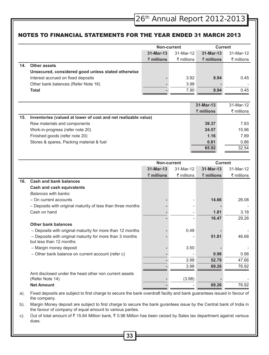26th Annual Report 2012-2013

|     |                                                                                     | Non-current              |                       | <b>Current</b>        |                         |
|-----|-------------------------------------------------------------------------------------|--------------------------|-----------------------|-----------------------|-------------------------|
|     |                                                                                     | 31-Mar-13                | 31-Mar-12             | 31-Mar-13             | 31-Mar-12               |
|     |                                                                                     | $\bar{\tau}$ millions    | ₹ millions            | $\bar{\tau}$ millions | ₹ millions              |
| 14. | Other assets                                                                        |                          |                       |                       |                         |
|     | Unsecured, considered good unless stated otherwise                                  |                          |                       |                       |                         |
|     | Interest accrued on fixed deposits                                                  |                          | 3.92                  | 8.94                  | 0.45                    |
|     | Other bank balances (Refer Note 16)                                                 |                          | 3.98                  |                       |                         |
|     | <b>Total</b>                                                                        |                          | 7.90                  | 8.94                  | 0.45                    |
|     |                                                                                     |                          |                       |                       |                         |
|     |                                                                                     |                          |                       | 31-Mar-13             | 31-Mar-12               |
|     |                                                                                     |                          |                       | ₹ millions            | ₹ millions              |
| 15. | Inventories (valued at lower of cost and net realizable value)                      |                          |                       |                       |                         |
|     | Raw materials and components                                                        |                          |                       | 39.37                 | 7.83                    |
|     | Work-in-progress (refer note 20)                                                    |                          |                       | 24.57                 | 15.96                   |
|     | Finished goods (refer note 20)                                                      |                          |                       | 1.16                  | 7.89                    |
|     | Stores & spares, Packing material & fuel                                            |                          |                       | 0.81                  | 0.86                    |
|     |                                                                                     |                          |                       | 65.92                 | 32.54                   |
|     |                                                                                     |                          |                       |                       |                         |
|     |                                                                                     | Non-current<br>31-Mar-13 |                       | <b>Current</b>        |                         |
|     |                                                                                     |                          |                       |                       |                         |
|     |                                                                                     |                          | 31-Mar-12             | 31-Mar-13             |                         |
|     |                                                                                     | $\bar{z}$ millions       | $\bar{\tau}$ millions | $\bar{z}$ millions    |                         |
|     | <b>Cash and bank balances</b>                                                       |                          |                       |                       |                         |
|     | Cash and cash equivalents                                                           |                          |                       |                       | 31-Mar-12<br>₹ millions |
| 16. | Balances with banks:                                                                |                          |                       |                       |                         |
|     | - On current accounts                                                               |                          |                       | 14.66                 | 26.08                   |
|     | - Deposits with original maturity of less than three months                         |                          |                       |                       |                         |
|     | Cash on hand                                                                        |                          |                       | 1.81                  |                         |
|     |                                                                                     |                          |                       | 16.47                 |                         |
|     | <b>Other bank balances</b>                                                          |                          |                       |                       |                         |
|     | - Deposits with original maturity for more than 12 months                           |                          | 0.48                  |                       |                         |
|     | - Deposits with original maturity for more than 3 months<br>but less than 12 months |                          |                       | 51.81                 | 3.18<br>29.26<br>46.68  |
|     | - Margin money deposit                                                              |                          | 3.50                  |                       |                         |
|     | - Other bank balance on current account (refer c)                                   |                          |                       | 0.98                  |                         |
|     |                                                                                     |                          | 3.98                  | 52.79                 | 0.98<br>47.66           |
|     |                                                                                     |                          | 3.98                  | 69.26                 | 76.92                   |

a). Fixed deposits are subject to first charge to secure the bank overdraft facilty and bank guarantees issued in favour of the company.

**Net Amount -** - **69.26** 76.92

(Refer Note 14) **-** (3.98) **-** -

b). Margin Money deposit are subject to first charge to secure the bank gurantees issue by the Central bank of India in the favour of company of equal amount to various parties.

c). Out of total amount of  $\bar{\tau}$  15.64 Million bank,  $\bar{\tau}$  0.98 Million has been ceized by Sales tax department against various dues.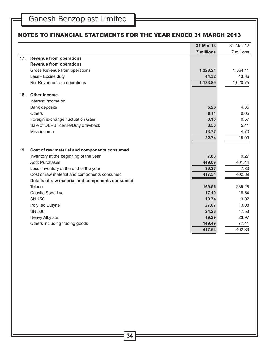|     |                                                 | 31-Mar-13          | 31-Mar-12  |
|-----|-------------------------------------------------|--------------------|------------|
|     |                                                 | $\bar{z}$ millions | ₹ millions |
| 17. | <b>Revenue from operations</b>                  |                    |            |
|     | <b>Revenue from operations</b>                  |                    |            |
|     | Gross Revenue from operations                   | 1,228.21           | 1,064.11   |
|     | Less:- Excise duty                              | 44.32              | 43.36      |
|     | Net Revenue from operations                     | 1,183.89           | 1,020.75   |
| 18. | Other income                                    |                    |            |
|     | Interest income on                              |                    |            |
|     | <b>Bank deposits</b>                            | 5.26               | 4.35       |
|     | <b>Others</b>                                   | 0.11               | 0.05       |
|     | Foreign exchange fluctuation Gain               | 0.10               | 0.57       |
|     | Sale of DEPB license/Duty drawback              | 3.50               | 5.41       |
|     | Misc income                                     | 13.77              | 4.70       |
|     |                                                 | 22.74              | 15.09      |
| 19. | Cost of raw material and components consumed    |                    |            |
|     | Inventory at the beginning of the year          | 7.83               | 9.27       |
|     | Add: Purchases                                  | 449.09             | 401.44     |
|     | Less: inventory at the end of the year          | 39.37              | 7.83       |
|     | Cost of raw material and components consumed    | 417.54             | 402.89     |
|     | Details of raw material and components consumed |                    |            |
|     | Tolune                                          | 169.56             | 239.28     |
|     | Caustic Soda Lye                                | 17.10              | 18.54      |
|     | SN 150                                          | 10.74              | 13.02      |
|     | Poly Iso Butyne                                 | 27.07              | 13.08      |
|     | <b>SN 500</b>                                   | 24.28              | 17.58      |
|     | Heavy Alkylate                                  | 19.29              | 23.97      |
|     | Others including trading goods                  | 149.49             | 77.41      |
|     |                                                 | 417.54             | 402.89     |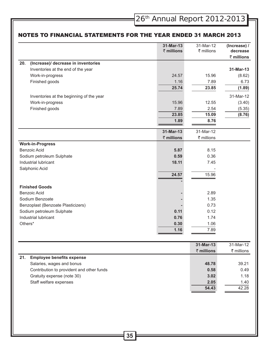26th Annual Report 2012-2013

|     |                                                   | 31-Mar-13<br>$\bar{\tau}$ millions | 31-Mar-12<br>₹ millions | (Increase) /<br>decrease |
|-----|---------------------------------------------------|------------------------------------|-------------------------|--------------------------|
|     |                                                   |                                    |                         | $\bar{z}$ millions       |
| 20. | (Increase)/ decrease in inventories               |                                    |                         |                          |
|     | Inventories at the end of the year                |                                    |                         | 31-Mar-13                |
|     | Work-in-progress                                  | 24.57                              | 15.96                   | (8.62)                   |
|     | Finished goods                                    | 1.16                               | 7.89                    | 6.73                     |
|     |                                                   | 25.74                              | 23.85                   | (1.89)                   |
|     | Inventories at the beginning of the year          |                                    |                         | 31-Mar-12                |
|     | Work-in-progress                                  | 15.96                              | 12.55                   | (3.40)                   |
|     | Finished goods                                    | 7.89                               | 2.54                    | (5.35)                   |
|     |                                                   | 23.85                              | 15.09                   | (8.76)                   |
|     |                                                   | 1.89                               | 8.76                    |                          |
|     |                                                   | 31-Mar-13                          | 31-Mar-12               |                          |
|     |                                                   | ₹ millions                         | ₹ millions              |                          |
|     | <b>Work-in-Progress</b>                           |                                    |                         |                          |
|     | Benzoic Acid                                      | 5.87                               | 8.15                    |                          |
|     | Sodium petroleum Sulphate                         | 0.59                               | 0.36                    |                          |
|     | Industrial lubricant                              | 18.11                              | 7.45                    |                          |
|     | Salphonic Acid                                    |                                    |                         |                          |
|     |                                                   | 24.57                              | 15.96                   |                          |
|     |                                                   |                                    |                         |                          |
|     | <b>Finished Goods</b>                             |                                    |                         |                          |
|     | <b>Benzoic Acid</b>                               |                                    | 2.89                    |                          |
|     | Sodium Benzoate                                   |                                    | 1.35                    |                          |
|     | Benzoplast (Benzoate Plasticizers)                |                                    | 0.73                    |                          |
|     | Sodium petroleum Sulphate<br>Industrial lubricant | 0.11<br>0.76                       | 0.12<br>1.74            |                          |
|     | Others*                                           | 0.30                               | 1.06                    |                          |
|     |                                                   | 1.16                               | 7.89                    |                          |
|     |                                                   |                                    |                         |                          |
|     |                                                   |                                    | 31-Mar-13               |                          |
|     |                                                   |                                    | ₹ millions              | 31-Mar-12<br>₹ millions  |
| 21. | <b>Employee benefits expense</b>                  |                                    |                         |                          |
|     | Salaries, wages and bonus                         |                                    | 48.78                   | 39.21                    |
|     | Contribution to provident and other funds         |                                    | 0.58                    | 0.49                     |
|     | Gratuity expense (note 30)                        |                                    | 3.02                    | 1.18                     |
|     | Staff welfare expenses                            |                                    | 2.05                    | 1.40                     |
|     |                                                   |                                    | 54.43                   | 42.28                    |
|     |                                                   |                                    |                         |                          |
|     |                                                   |                                    |                         |                          |
|     |                                                   |                                    |                         |                          |
|     |                                                   |                                    |                         |                          |
|     |                                                   |                                    |                         |                          |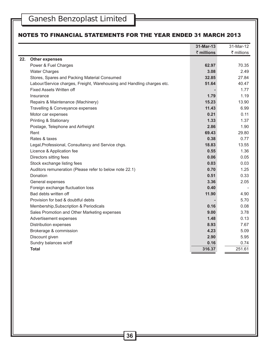|     |                                                                        | 31-Mar-13          | 31-Mar-12  |
|-----|------------------------------------------------------------------------|--------------------|------------|
|     |                                                                        | $\bar{z}$ millions | ₹ millions |
| 22. | Other expenses                                                         |                    |            |
|     | Power & Fuel Charges                                                   | 62.97              | 70.35      |
|     | <b>Water Charges</b>                                                   | 3.08               | 2.49       |
|     | Stores, Spares and Packing Material Consumed                           | 32.85              | 27.84      |
|     | Labour/Service charges, Freight, Warehousing and Handling charges etc. | 51.64              | 40.47      |
|     | Fixed Assets Written off                                               |                    | 1.77       |
|     | Insurance                                                              | 1.79               | 1.19       |
|     | Repairs & Maintenance (Machinery)                                      | 15.23              | 13.90      |
|     | Travelling & Conveyance expenses                                       | 11.43              | 6.99       |
|     | Motor car expenses                                                     | 0.21               | 0.11       |
|     | Printing & Stationary                                                  | 1.33               | 1.37       |
|     | Postage, Telephone and Airfreight                                      | 2.86               | 1.90       |
|     | Rent                                                                   | 69.43              | 29.80      |
|     | Rates & taxes                                                          | 0.38               | 0.77       |
|     | Legal, Professional, Consultancy and Service chgs.                     | 18.83              | 13.55      |
|     | Licence & Application fee                                              | 0.55               | 1.36       |
|     | Directors sitting fees                                                 | 0.06               | 0.05       |
|     | Stock exchange listing fees                                            | 0.03               | 0.03       |
|     | Auditors remuneration (Please refer to below note 22.1)                | 0.70               | 1.25       |
|     | Donation                                                               | 0.51               | 0.33       |
|     | General expenses                                                       | 3.36               | 2.05       |
|     | Foreign exchange fluctuation loss                                      | 0.40               |            |
|     | Bad debts written off                                                  | 11.90              | 4.90       |
|     | Provision for bad & doubtful debts                                     |                    | 5.70       |
|     | Membership, Subscription & Periodicals                                 | 0.16               | 0.08       |
|     | Sales Promotion and Other Marketing expenses                           | 9.00               | 3.78       |
|     | Advertisement expenses                                                 | 1.48               | 0.13       |
|     | Distribution expenses                                                  | 8.93               | 7.67       |
|     | Brokerage & commission                                                 | 4.23               | 5.09       |
|     | Discount given                                                         | 2.90               | 5.95       |
|     | Sundry balances w/off                                                  | 0.16               | 0.74       |
|     | <b>Total</b>                                                           | 316.37             | 251.61     |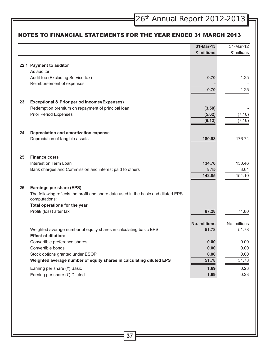26th Annual Report 2012-2013

# NOTES TO FINANCIAL STATEMENTS FOR THE YEAR ENDED 31 MARCH 2013 **31-Mar-13** 31-Mar-12 ` **millions** ` millions **22.1 Payment to auditor** As auditor: Audit fee (Excluding Service tax) **0.70** 1.25 **Reimbursement of expenses**  $\overline{0.70}$   $\overline{1.25}$ **23. Exceptional & Prior period Income/(Expenses)** Redemption premium on repayment of principal loan **(3.50)** - (3.50) Prior Period Expenses **(5.62)** (7.16)  **(9.12)** (7.16) **24. Depreciation and amortization expense** Depreciation of tangible assets **180.93** 176.74 **25. Finance costs** Interest on Term Loan **134.70** 150.46 Bank charges and Commission and interest paid to others **8.15** 3.64  **142.85** 154.10 **26. Earnings per share (EPS)** The following reflects the profit and share data used in the basic and diluted EPS computations: **Total operations for the year** Profit/ (loss) after tax **87.28** 11.80 **No. millions** No. millions Weighted average number of equity shares in calculating basic EPS **51.78** 51.78 **Effect of dilution:** Convertible preference shares **0.00** 0.00 **Convertible bonds 0.00** 0.00 **0.00** 0.00 **0.00** 0.00 **0.00** 0.00 **0.00** 0.00 **0.00** Stock options granted under ESOP **0.00** 0.00 **0.00** 0.00 **Weighted average number of equity shares in calculating diluted EPS 51.78** 51.78 Earning per share (`) Basic **1.69** 0.23 Earning per share (`) Diluted **1.69** 0.23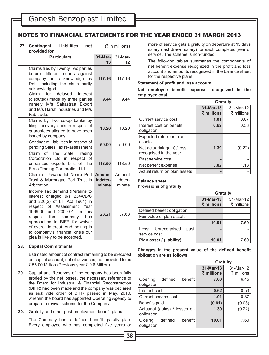| 27. | Contingent<br><b>Liabilities</b><br>not<br>provided for                                                                                                                                                                                                                                                                                                   |                                     | $($ ₹ in millions)           |
|-----|-----------------------------------------------------------------------------------------------------------------------------------------------------------------------------------------------------------------------------------------------------------------------------------------------------------------------------------------------------------|-------------------------------------|------------------------------|
|     | <b>Particulars</b>                                                                                                                                                                                                                                                                                                                                        | 31-Mar-<br>13                       | $31-Mar-$<br>12              |
|     | Claims filed by Twenty Two parties<br>before different courts against<br>company not acknowledge as<br>Debt including the claim partly<br>acknowledged.                                                                                                                                                                                                   | 117.16                              | 117.16                       |
|     | delayed<br>Claim<br>for<br>interest<br>(disputed) made by three parties<br>namely M/s Sahastraa Export<br>and M/s Harsh Industries and M/s<br>Fab trade.                                                                                                                                                                                                  | 9.44                                | 9.44                         |
|     | Claims by Two co-op banks by<br>filing recovery suits in respect of<br>guarantees alleged to have been<br>issued by company                                                                                                                                                                                                                               | 13.20                               | 13.20                        |
|     | Contingent Liabilities in respect of<br>pending Sales Tax re-assessment                                                                                                                                                                                                                                                                                   | 50.00                               | 50.00                        |
|     | Claim<br>of The State<br>Trading<br>Corporation Ltd in respect of<br>unrealized exports bills of The<br><b>State Trading Corporation Ltd</b>                                                                                                                                                                                                              | 113.50                              | 113.50                       |
|     | Claim of Jawaharlal Nehru Port<br>Trust & Marmagao Port Trust in<br>Arbitration                                                                                                                                                                                                                                                                           | <b>Amount</b><br>indeter-<br>minate | Amount<br>indeter-<br>minate |
|     | Income Tax demand (Pertains to<br>interest charged u/s 234A/B/C<br>and 220(2) of I.T. Act 1961) in<br>respect of Assessment<br>Year<br>1999-00 and 2000-01. In<br>this<br>the<br>respect<br>company<br>has<br>approached to BIFR for waiver<br>of overall interest. And looking in<br>to company's financial crisis our<br>plea is likely to be accepted. | 28.21                               | 37.63                        |

#### **28. Capital Commitments**

Estimated amount of contract remaining to be executed on capital account, net of advances, not provided for is ₹ 55.00 Million (Previous year  $\bar{\tau}$  0.8 Million)

**29.** Capital and Reserves of the company has been fully eroded by the net losses, the necessary reference to the Board for Industrial & Financial Reconstruction (BIFR) had been made and the company was declared as sick vide order of BIFR passed in May, 2010, wherein the board has appointed Operating Agency to prepare a revival scheme for the Company.

**30.** Gratuity and other post-employment benefit plans:

The Company has a defined benefit gratuity plan. Every employee who has completed five years or more of service gets a gratuity on departure at 15 days salary (last drawn salary) for each completed year of service. The scheme is non-funded.

The following tables summaries the components of net benefit expense recognized in the profit and loss account and amounts recognized in the balance sheet for the respective plans.

#### **Statement of profit and loss account**

**Net employee benefit expense recognized in the employee cost**

|                                                      | Gratuity              |            |
|------------------------------------------------------|-----------------------|------------|
|                                                      | 31-Mar-13             | 31-Mar-12  |
|                                                      | $\bar{\tau}$ millions | ₹ millions |
| Current service cost                                 | 1.01                  | 0.87       |
| Interest cost on benefit<br>obligation               | 0.62                  | 0.53       |
| Expected return on plan<br>assets                    |                       |            |
| Net actuarial(gain) / loss<br>recognised in the year | 1.39                  | (0.22)     |
| Past service cost                                    |                       |            |
| Net benefit expense                                  | 3.02                  | 1.18       |
| Actual return on plan assets                         |                       |            |

#### **Balance sheet Provisions of gratuity**

|                                                 | Gratuity              |            |  |  |
|-------------------------------------------------|-----------------------|------------|--|--|
|                                                 | 31-Mar-13             | 31-Mar-12  |  |  |
|                                                 | $\bar{\tau}$ millions | ₹ millions |  |  |
| Defined benefit obligation                      |                       |            |  |  |
| Fair value of plan assets                       |                       |            |  |  |
|                                                 | 10.01                 | 7.60       |  |  |
| Unrecognised<br>past<br>l Less:<br>service cost |                       |            |  |  |
| Plan asset / (liability)                        | 10.01                 | 7.60       |  |  |

**Changes in the present value of the defined benefit obligation are as follows:**

|                                             | Gratuity              |            |  |  |
|---------------------------------------------|-----------------------|------------|--|--|
|                                             | 31-Mar-13             | 31-Mar-12  |  |  |
|                                             | $\bar{\tau}$ millions | ₹ millions |  |  |
| defined<br>benefit<br>Opening<br>obligation | 7.60                  | 6.45       |  |  |
| Interest cost                               | 0.62                  | 0.53       |  |  |
| Current service cost                        | 1.01                  | 0.87       |  |  |
| Benefits paid                               | (0.61)                | (0.03)     |  |  |
| Actuarial (gains) / losses on<br>obligation | 1.39                  | (0.22)     |  |  |
| benefit<br>defined<br>Closing<br>obligation | 10.01                 | 7.60       |  |  |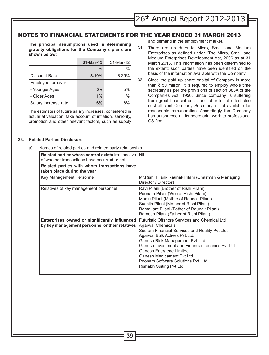**The principal assumptions used in determining gratuity obligations for the Company's plans are shown below:**

|                      | 31-Mar-13 | 31-Mar-12 |
|----------------------|-----------|-----------|
|                      | $\%$      | $\%$      |
| Discount Rate        | 8.10%     | 8.25%     |
| Employee turnover    |           |           |
| - Younger Ages       | 5%        | 5%        |
| - Older Ages         | 1%        | 1%        |
| Salary increase rate | 6%        | 6%        |

The estimates of future salary increases, considered in actuarial valuation, take account of inflation, seniority, promotion and other relevant factors, such as supply and demand in the employment market.

- **31.** There are no dues to Micro, Small and Medium Enterprises as defined under "The Micro, Small and Medium Enterprises Development Act, 2006 as at 31 March 2013. This information has been determined to the extent; such parties have been identified on the basis of the information available with the Company.
- **32.** Since the paid up share capital of Company is more than  $\bar{\tau}$  50 million, It is required to employ whole time secretary as per the provisions of section 383A of the Companies Act, 1956. Since company is suffering from great financial crisis and after lot of effort also cost efficient Company Secretary is not available for reasonable remuneration. Accordingly the Company has outsourced all its secretarial work to professional CS firm.

#### **33. Related Parties Disclosure**

a) Names of related parties and related party relationship

| Names of related parties and related party relationship                                                 |                                                                                                                                                                                                                                                                                                                                                                         |
|---------------------------------------------------------------------------------------------------------|-------------------------------------------------------------------------------------------------------------------------------------------------------------------------------------------------------------------------------------------------------------------------------------------------------------------------------------------------------------------------|
| Related parties where control exists irrespective   Nil<br>of whether transactions have occurred or not |                                                                                                                                                                                                                                                                                                                                                                         |
| Related parties with whom transactions have<br>taken place during the year                              |                                                                                                                                                                                                                                                                                                                                                                         |
| Key Management Personnel                                                                                | Mr. Rishi Pilani/ Raunak Pilani (Chairman & Managing<br>Director / Director)                                                                                                                                                                                                                                                                                            |
| Relatives of key management personnel                                                                   | Ravi Pilani (Brother of Rishi Pilani)<br>Poonam Pilani (Wife of Rishi Pilani)<br>Manju Pilani (Mother of Raunak Pilani)<br>Sushila Pilani (Mother of Rishi Pilani)<br>Ramakant Pilani (Father of Raunak Pilani)<br>Ramesh Pilani (Father of Rishi Pilani)                                                                                                               |
| Enterprises owned or significantly influenced<br>by key management personnel or their relatives         | Futuristic Offshore Services and Chemical Ltd<br>Agarwal Chemicals<br>Susram Financial Services and Reality Pvt Ltd.<br>Agarwal Bulk Actives Pvt.Ltd.<br>Ganesh Risk Management Pvt. Ltd<br>Ganesh Investment and Financial Technics Pyt Ltd<br>Ganesh Energene Limited<br>Ganesh Medicament Pvt Ltd<br>Poonam Software Solutions Pyt. Ltd.<br>Rishabh Suiting Pvt Ltd. |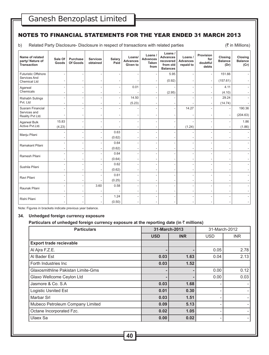b) Related Party Disclosure- Disclosure in respect of transactions with related parties ( $\bar{\tau}$  in Millions)

| Name of related<br>party/ Nature of<br><b>Transaction</b> | Sale Of<br>Goods | Purchase<br>Of Goods | <b>Services</b><br>obtained | Salary<br>Paid | Loans/<br><b>Advances</b><br>Given to | Loans /<br><b>Advances</b><br>Taken<br>from | Loans /<br><b>Advances</b><br>recovered<br>from old<br><b>Balances</b> | Loans/<br><b>Advances</b><br>repaid to | Provision<br>for<br>doubtful<br>debts | Closing<br><b>Balance</b><br>(Dr) | Closing<br><b>Balance</b><br>(Cr) |
|-----------------------------------------------------------|------------------|----------------------|-----------------------------|----------------|---------------------------------------|---------------------------------------------|------------------------------------------------------------------------|----------------------------------------|---------------------------------------|-----------------------------------|-----------------------------------|
| Futuristic Offshore<br>Services And<br>Chemical Ltd       |                  |                      |                             |                |                                       |                                             | 5.95<br>(0.92)                                                         |                                        |                                       | 151.66<br>(157.61)                |                                   |
|                                                           |                  |                      |                             |                | 0.01                                  |                                             |                                                                        |                                        |                                       | 4.11                              |                                   |
| Agarwal<br>Chemicals                                      |                  |                      |                             |                |                                       |                                             | (2.95)                                                                 |                                        |                                       | (4.10)                            |                                   |
| Rishabh Sutings<br>Pvt. Ltd                               |                  |                      |                             |                | 14.50<br>(5.23)                       |                                             |                                                                        |                                        |                                       | 29.24<br>(14.74)                  |                                   |
| Susram Financial                                          |                  |                      |                             |                |                                       | ٠                                           |                                                                        | 14.27                                  |                                       |                                   | 190.36                            |
| Services and<br>Reality Pvt Ltd.                          |                  |                      |                             |                |                                       |                                             |                                                                        |                                        |                                       |                                   | (204.63)                          |
| Agarwal Bulk                                              | 15.83            |                      |                             |                |                                       |                                             |                                                                        |                                        |                                       |                                   | 1.86                              |
| Active Pvt.Ltd.                                           | (4.23)           |                      |                             |                |                                       |                                             |                                                                        | (1.24)                                 |                                       |                                   | (1.86)                            |
| Manju Pilani                                              |                  |                      |                             | 0.63           |                                       | ٠                                           |                                                                        |                                        |                                       |                                   |                                   |
|                                                           |                  |                      |                             | (0.62)         |                                       |                                             |                                                                        |                                        |                                       |                                   |                                   |
| Ramakant Pilani                                           |                  |                      |                             | 0.64<br>(0.62) |                                       |                                             |                                                                        |                                        |                                       |                                   |                                   |
|                                                           |                  |                      |                             | 0.64           |                                       | ä,                                          |                                                                        |                                        |                                       |                                   |                                   |
| Ramesh Pilani                                             |                  |                      |                             | (0.64)         |                                       |                                             |                                                                        |                                        |                                       |                                   |                                   |
| Sushila Pilani                                            |                  |                      |                             | 0.62           |                                       |                                             |                                                                        |                                        |                                       |                                   |                                   |
|                                                           |                  |                      |                             | (0.62)         |                                       |                                             |                                                                        |                                        |                                       |                                   |                                   |
| Ravi Pilani                                               |                  |                      |                             | 0.61           |                                       | ٠                                           |                                                                        |                                        |                                       |                                   |                                   |
|                                                           |                  |                      |                             | (0.25)         |                                       |                                             |                                                                        |                                        |                                       |                                   |                                   |
| Raunak Pilani                                             |                  |                      | 3.60                        | 0.58           | ٠                                     | ٠                                           |                                                                        |                                        |                                       |                                   |                                   |
|                                                           |                  |                      |                             | 1.24           |                                       |                                             |                                                                        |                                        |                                       |                                   |                                   |
| Rishi Pilani                                              |                  |                      |                             | (0.50)         |                                       |                                             |                                                                        |                                        |                                       |                                   |                                   |

Note: Figures in brackets indicate previous year balance.

#### **34. Unhedged foreign currency exposure**

#### Particulars of unhedged foreign currency exposure at the reporting date (in ₹ millions)

| <b>Particulars</b>                 | 31-March-2013 |            |            | 31-March-2012 |
|------------------------------------|---------------|------------|------------|---------------|
|                                    | <b>USD</b>    | <b>INR</b> | <b>USD</b> | <b>INR</b>    |
| <b>Export trade recievable</b>     |               |            |            |               |
| Al Ajra F.Z.E.                     |               |            | 0.05       | 2.78          |
| Al Bader Est                       | 0.03          | 1.63       | 0.04       | 2.13          |
| Forth Industries Inc.              | 0.03          | 1.52       |            |               |
| Glaxosmithline Pakistan Limite-Gms |               |            | 0.00       | 0.12          |
| Glaxo Wellcome Ceylon Ltd          | ٠             |            | 0.00       | 0.03          |
| Jasmore & Co. S.A.                 | 0.03          | 1.68       |            |               |
| <b>Logistic Usnited Est</b>        | 0.01          | 0.30       |            |               |
| Marbar Srl                         | 0.03          | 1.51       |            |               |
| Mubeco Petroleum Company Limited   | 0.09          | 5.13       |            |               |
| Octane Incorporated Fzc.           | 0.02          | 1.05       |            |               |
| Ulaex Sa                           | 0.00          | 0.02       |            |               |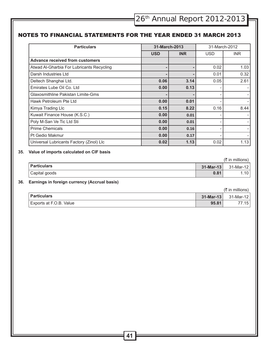| <b>Particulars</b>                        |            | 31-March-2013 |            | 31-March-2012 |
|-------------------------------------------|------------|---------------|------------|---------------|
|                                           | <b>USD</b> | <b>INR</b>    | <b>USD</b> | <b>INR</b>    |
| <b>Advance received from customers</b>    |            |               |            |               |
| Atwad Al-Gharbia For Lubricants Recycling | ٠          |               | 0.02       | 1.03          |
| Darsh Industries Ltd                      | ٠          |               | 0.01       | 0.32          |
| Deltech Shanghai Ltd.                     | 0.06       | 3.14          | 0.05       | 2.61          |
| Emirates Lube Oil Co. Ltd.                | 0.00       | 0.13          |            |               |
| Glaxosmithline Pakistan Limite-Gms        |            |               |            |               |
| Hawk Petroleum Pte Ltd                    | 0.00       | 0.01          |            |               |
| Kimya Trading Llc                         | 0.15       | 8.22          | 0.16       | 8.44          |
| Kuwait Finance House (K.S.C.)             | 0.00       | 0.01          |            |               |
| Poly M-San Ve Tic Ltd Sti                 | 0.00       | 0.01          |            |               |
| <b>Prime Chemicals</b>                    | 0.00       | 0.16          |            |               |
| Pt Gedio Makmur                           | 0.00       | 0.17          |            |               |
| Universal Lubricants Factory (Zinol) Llc  | 0.02       | 1.13          | 0.02       | 1.13          |

#### **35. Value of imports calculated on CIF basis**

|                    |           | $(3\overline{5})$ in millions) |
|--------------------|-----------|--------------------------------|
| <b>Particulars</b> | 31-Mar-13 | 31-Mar-12                      |
| Capital goods      | 0.81      | .10 <sup>1</sup>               |

### **36. Earnings in foreign currency (Accrual basis)**

|                         |             | $(5$ in millions) |
|-------------------------|-------------|-------------------|
| <b>Particulars</b>      | $31-Mar-13$ | 31-Mar-12         |
| Exports at F.O.B. Value | 95.81       | 77.15             |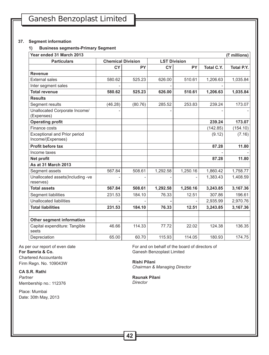#### **37. Segment information**

#### **1) Business segments-Primary Segment**

| Year ended 31 March 2013<br>(₹ millions)          |                          |         |                     |          |            |            |
|---------------------------------------------------|--------------------------|---------|---------------------|----------|------------|------------|
| <b>Particulars</b>                                | <b>Chemical Division</b> |         | <b>LST Division</b> |          |            |            |
|                                                   | <b>CY</b>                | PY      | <b>CY</b>           | PY       | Total C.Y. | Total P.Y. |
| <b>Revenue</b>                                    |                          |         |                     |          |            |            |
| <b>External sales</b>                             | 580.62                   | 525.23  | 626.00              | 510.61   | 1,206.63   | 1,035.84   |
| Inter segment sales                               |                          |         |                     |          |            |            |
| <b>Total revenue</b>                              | 580.62                   | 525.23  | 626.00              | 510.61   | 1,206.63   | 1,035.84   |
| <b>Results</b>                                    |                          |         |                     |          |            |            |
| Segment results                                   | (46.28)                  | (80.76) | 285.52              | 253.83   | 239.24     | 173.07     |
| Unallocated Corporate Income/<br>(Expenses)       |                          |         |                     |          |            |            |
| <b>Operating profit</b>                           |                          |         |                     |          | 239.24     | 173.07     |
| Finance costs                                     |                          |         |                     |          | (142.85)   | (154.10)   |
| Exceptional and Prior period<br>Income/(Expenses) |                          |         |                     |          | (9.12)     | (7.16)     |
| Profit before tax                                 |                          |         |                     |          | 87.28      | 11.80      |
| Income taxes                                      |                          |         |                     |          |            |            |
| Net profit                                        |                          |         |                     |          | 87.28      | 11.80      |
| As at 31 March 2013                               |                          |         |                     |          |            |            |
| Segment assets                                    | 567.84                   | 508.61  | 1,292.58            | 1,250.16 | 1,860.42   | 1,758.77   |
| Unallocated assets(Including -ve<br>reserves)     |                          |         |                     |          | 1,383.43   | 1,408.59   |
| <b>Total assets</b>                               | 567.84                   | 508.61  | 1,292.58            | 1,250.16 | 3,243.85   | 3,167.36   |
| Segment liabilities                               | 231.53                   | 184.10  | 76.33               | 12.51    | 307.86     | 196.61     |
| Unallocated liabilities                           |                          |         |                     |          | 2,935.99   | 2,970.76   |
| <b>Total liabilities</b>                          | 231.53                   | 184.10  | 76.33               | 12.51    | 3,243.85   | 3,167.36   |
|                                                   |                          |         |                     |          |            |            |
| Other segment information                         |                          |         |                     |          |            |            |
| Capital expenditure: Tangible<br>seets            | 46.66                    | 114.33  | 77.72               | 22.02    | 124.38     | 136.35     |
| Depreciation                                      | 65.00                    | 60.70   | 115.93              | 114.05   | 180.93     | 174.75     |

As per our report of even date **For Samria & Co.** Chartered Accountants Firm Regn. No. 109043W

**CA S.R. Rathi** *Partner* Membership no.: 112376

Place: Mumbai Date: 30th May, 2013

For and on behalf of the board of directors of Ganesh Benzoplast Limited

**Rishi Pilani** *Chairman & Managing Director*

**Raunak Pilani** *Director*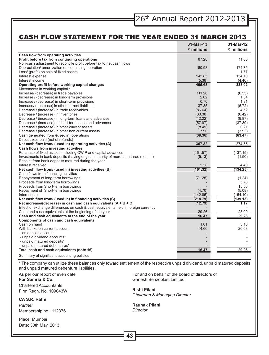26<sup>th</sup> Annual Report 2012-2013

# CASH FLOW STATEMENT FOR THE YEAR ENDED 31 MARCH 2013

| $\bar{z}$ millions<br>₹ millions<br>Cash flow from operating activities<br>Profit before tax from continuing operations<br>87.28<br>11.80<br>Non-cash adjustment to reconcile profit before tax to net cash flows<br>Depreciation/ amortization on continuing operation<br>180.93<br>174.75<br>Loss/ (profit) on sale of fixed assets<br>1.77<br>Interest expense<br>142.85<br>154.10<br>Interest income<br>(5.38)<br>(4.40)<br>338.02<br>Operating profit before working capital changes<br>405.68<br>Movements in working capital :<br>111.26<br>Increase/ (decrease) in trade payables<br>(6.53)<br>Increase / (decrease) in long-term provisions<br>2.62<br>1.34<br>Increase / (decrease) in short-term provisions<br>0.70<br>1.31<br>Increase/ (decrease) in other current liabilities<br>37.85<br>(6.72)<br>Decrease / (increase) in trade receivables<br>(86.64)<br>4.52<br>Decrease / (increase) in inventories<br>(6.42)<br>(33.38)<br>(9.87)<br>Decrease / (increase) in long-term loans and advances<br>(12.22)<br>Decrease / (increase) in short-term loans and advances<br>(37.39)<br>(57.97)<br>Decrease / (increase) in other current assets<br>(8.49)<br>0.21<br>(3.92)<br>Decrease / (increase) in other non current assets<br>7.90<br>(38.36)<br>Cash generated from /(used in) operations<br>(63.47)<br>Direct taxes paid (net of refunds)<br>367.32<br>Net cash flow from/ (used in) operating activities (A)<br>274.55<br>Cash flows from investing activities<br>Purchase of fixed assets, including CWIP and capital advances<br>(161.57)<br>(137.15)<br>Investments in bank deposits (having original maturity of more than three months)<br>(5.13)<br>(1.50)<br>Receipt from bank deposits matured during the year<br>Interest received<br>5.38<br>4.40<br>(161.32)<br>(134.25)<br>Net cash flow from/ (used in) investing activities (B)<br>Cash flows from financing activities<br>Repayament of long-term borrowings<br>(71.25)<br>(1.24)<br>Proceeds from long-term borrowings<br>5.78<br>Proceeds from Short-term borrowings<br>15.50<br>(5.08)<br>Repayment of Short-term borrowings<br>(4.70)<br>Interest paid<br>(142.85)<br>(154.10)<br>(218.79)<br>(139.13)<br>Net cash flow from/ (used in) in financing activities (C)<br>Net increase/(decrease) in cash and cash equivalents $(A + B + C)$<br>(12.79)<br>1.17<br>Effect of exchange differences on cash & cash equivalents held in foreign currency<br>28.09<br>Cash and cash equivalents at the beginning of the year<br>29.26<br>Cash and cash equivalents at the end of the year<br>16.47<br>29.26<br>Components of cash and cash equivalents<br>Cash on hand<br>1.81<br>3.18<br>With banks-on current account<br>14.66<br>26.08<br>- on deposit account<br>- unpaid dividend accounts*<br>- unpaid matured deposits*<br>- unpaid matured debentures*<br>29.26<br>Total cash and cash equivalents (note 16)<br>16.47 | 31-Mar-13 | 31-Mar-12 |
|----------------------------------------------------------------------------------------------------------------------------------------------------------------------------------------------------------------------------------------------------------------------------------------------------------------------------------------------------------------------------------------------------------------------------------------------------------------------------------------------------------------------------------------------------------------------------------------------------------------------------------------------------------------------------------------------------------------------------------------------------------------------------------------------------------------------------------------------------------------------------------------------------------------------------------------------------------------------------------------------------------------------------------------------------------------------------------------------------------------------------------------------------------------------------------------------------------------------------------------------------------------------------------------------------------------------------------------------------------------------------------------------------------------------------------------------------------------------------------------------------------------------------------------------------------------------------------------------------------------------------------------------------------------------------------------------------------------------------------------------------------------------------------------------------------------------------------------------------------------------------------------------------------------------------------------------------------------------------------------------------------------------------------------------------------------------------------------------------------------------------------------------------------------------------------------------------------------------------------------------------------------------------------------------------------------------------------------------------------------------------------------------------------------------------------------------------------------------------------------------------------------------------------------------------------------------------------------------------------------------------------------------------------------------------------------------------------------------------------------------------------------------------------------------------------------------------------------------------------------------------------------------------------------|-----------|-----------|
|                                                                                                                                                                                                                                                                                                                                                                                                                                                                                                                                                                                                                                                                                                                                                                                                                                                                                                                                                                                                                                                                                                                                                                                                                                                                                                                                                                                                                                                                                                                                                                                                                                                                                                                                                                                                                                                                                                                                                                                                                                                                                                                                                                                                                                                                                                                                                                                                                                                                                                                                                                                                                                                                                                                                                                                                                                                                                                                |           |           |
|                                                                                                                                                                                                                                                                                                                                                                                                                                                                                                                                                                                                                                                                                                                                                                                                                                                                                                                                                                                                                                                                                                                                                                                                                                                                                                                                                                                                                                                                                                                                                                                                                                                                                                                                                                                                                                                                                                                                                                                                                                                                                                                                                                                                                                                                                                                                                                                                                                                                                                                                                                                                                                                                                                                                                                                                                                                                                                                |           |           |
|                                                                                                                                                                                                                                                                                                                                                                                                                                                                                                                                                                                                                                                                                                                                                                                                                                                                                                                                                                                                                                                                                                                                                                                                                                                                                                                                                                                                                                                                                                                                                                                                                                                                                                                                                                                                                                                                                                                                                                                                                                                                                                                                                                                                                                                                                                                                                                                                                                                                                                                                                                                                                                                                                                                                                                                                                                                                                                                |           |           |
|                                                                                                                                                                                                                                                                                                                                                                                                                                                                                                                                                                                                                                                                                                                                                                                                                                                                                                                                                                                                                                                                                                                                                                                                                                                                                                                                                                                                                                                                                                                                                                                                                                                                                                                                                                                                                                                                                                                                                                                                                                                                                                                                                                                                                                                                                                                                                                                                                                                                                                                                                                                                                                                                                                                                                                                                                                                                                                                |           |           |
|                                                                                                                                                                                                                                                                                                                                                                                                                                                                                                                                                                                                                                                                                                                                                                                                                                                                                                                                                                                                                                                                                                                                                                                                                                                                                                                                                                                                                                                                                                                                                                                                                                                                                                                                                                                                                                                                                                                                                                                                                                                                                                                                                                                                                                                                                                                                                                                                                                                                                                                                                                                                                                                                                                                                                                                                                                                                                                                |           |           |
|                                                                                                                                                                                                                                                                                                                                                                                                                                                                                                                                                                                                                                                                                                                                                                                                                                                                                                                                                                                                                                                                                                                                                                                                                                                                                                                                                                                                                                                                                                                                                                                                                                                                                                                                                                                                                                                                                                                                                                                                                                                                                                                                                                                                                                                                                                                                                                                                                                                                                                                                                                                                                                                                                                                                                                                                                                                                                                                |           |           |
|                                                                                                                                                                                                                                                                                                                                                                                                                                                                                                                                                                                                                                                                                                                                                                                                                                                                                                                                                                                                                                                                                                                                                                                                                                                                                                                                                                                                                                                                                                                                                                                                                                                                                                                                                                                                                                                                                                                                                                                                                                                                                                                                                                                                                                                                                                                                                                                                                                                                                                                                                                                                                                                                                                                                                                                                                                                                                                                |           |           |
|                                                                                                                                                                                                                                                                                                                                                                                                                                                                                                                                                                                                                                                                                                                                                                                                                                                                                                                                                                                                                                                                                                                                                                                                                                                                                                                                                                                                                                                                                                                                                                                                                                                                                                                                                                                                                                                                                                                                                                                                                                                                                                                                                                                                                                                                                                                                                                                                                                                                                                                                                                                                                                                                                                                                                                                                                                                                                                                |           |           |
|                                                                                                                                                                                                                                                                                                                                                                                                                                                                                                                                                                                                                                                                                                                                                                                                                                                                                                                                                                                                                                                                                                                                                                                                                                                                                                                                                                                                                                                                                                                                                                                                                                                                                                                                                                                                                                                                                                                                                                                                                                                                                                                                                                                                                                                                                                                                                                                                                                                                                                                                                                                                                                                                                                                                                                                                                                                                                                                |           |           |
|                                                                                                                                                                                                                                                                                                                                                                                                                                                                                                                                                                                                                                                                                                                                                                                                                                                                                                                                                                                                                                                                                                                                                                                                                                                                                                                                                                                                                                                                                                                                                                                                                                                                                                                                                                                                                                                                                                                                                                                                                                                                                                                                                                                                                                                                                                                                                                                                                                                                                                                                                                                                                                                                                                                                                                                                                                                                                                                |           |           |
|                                                                                                                                                                                                                                                                                                                                                                                                                                                                                                                                                                                                                                                                                                                                                                                                                                                                                                                                                                                                                                                                                                                                                                                                                                                                                                                                                                                                                                                                                                                                                                                                                                                                                                                                                                                                                                                                                                                                                                                                                                                                                                                                                                                                                                                                                                                                                                                                                                                                                                                                                                                                                                                                                                                                                                                                                                                                                                                |           |           |
|                                                                                                                                                                                                                                                                                                                                                                                                                                                                                                                                                                                                                                                                                                                                                                                                                                                                                                                                                                                                                                                                                                                                                                                                                                                                                                                                                                                                                                                                                                                                                                                                                                                                                                                                                                                                                                                                                                                                                                                                                                                                                                                                                                                                                                                                                                                                                                                                                                                                                                                                                                                                                                                                                                                                                                                                                                                                                                                |           |           |
|                                                                                                                                                                                                                                                                                                                                                                                                                                                                                                                                                                                                                                                                                                                                                                                                                                                                                                                                                                                                                                                                                                                                                                                                                                                                                                                                                                                                                                                                                                                                                                                                                                                                                                                                                                                                                                                                                                                                                                                                                                                                                                                                                                                                                                                                                                                                                                                                                                                                                                                                                                                                                                                                                                                                                                                                                                                                                                                |           |           |
|                                                                                                                                                                                                                                                                                                                                                                                                                                                                                                                                                                                                                                                                                                                                                                                                                                                                                                                                                                                                                                                                                                                                                                                                                                                                                                                                                                                                                                                                                                                                                                                                                                                                                                                                                                                                                                                                                                                                                                                                                                                                                                                                                                                                                                                                                                                                                                                                                                                                                                                                                                                                                                                                                                                                                                                                                                                                                                                |           |           |
|                                                                                                                                                                                                                                                                                                                                                                                                                                                                                                                                                                                                                                                                                                                                                                                                                                                                                                                                                                                                                                                                                                                                                                                                                                                                                                                                                                                                                                                                                                                                                                                                                                                                                                                                                                                                                                                                                                                                                                                                                                                                                                                                                                                                                                                                                                                                                                                                                                                                                                                                                                                                                                                                                                                                                                                                                                                                                                                |           |           |
|                                                                                                                                                                                                                                                                                                                                                                                                                                                                                                                                                                                                                                                                                                                                                                                                                                                                                                                                                                                                                                                                                                                                                                                                                                                                                                                                                                                                                                                                                                                                                                                                                                                                                                                                                                                                                                                                                                                                                                                                                                                                                                                                                                                                                                                                                                                                                                                                                                                                                                                                                                                                                                                                                                                                                                                                                                                                                                                |           |           |
|                                                                                                                                                                                                                                                                                                                                                                                                                                                                                                                                                                                                                                                                                                                                                                                                                                                                                                                                                                                                                                                                                                                                                                                                                                                                                                                                                                                                                                                                                                                                                                                                                                                                                                                                                                                                                                                                                                                                                                                                                                                                                                                                                                                                                                                                                                                                                                                                                                                                                                                                                                                                                                                                                                                                                                                                                                                                                                                |           |           |
|                                                                                                                                                                                                                                                                                                                                                                                                                                                                                                                                                                                                                                                                                                                                                                                                                                                                                                                                                                                                                                                                                                                                                                                                                                                                                                                                                                                                                                                                                                                                                                                                                                                                                                                                                                                                                                                                                                                                                                                                                                                                                                                                                                                                                                                                                                                                                                                                                                                                                                                                                                                                                                                                                                                                                                                                                                                                                                                |           |           |
|                                                                                                                                                                                                                                                                                                                                                                                                                                                                                                                                                                                                                                                                                                                                                                                                                                                                                                                                                                                                                                                                                                                                                                                                                                                                                                                                                                                                                                                                                                                                                                                                                                                                                                                                                                                                                                                                                                                                                                                                                                                                                                                                                                                                                                                                                                                                                                                                                                                                                                                                                                                                                                                                                                                                                                                                                                                                                                                |           |           |
|                                                                                                                                                                                                                                                                                                                                                                                                                                                                                                                                                                                                                                                                                                                                                                                                                                                                                                                                                                                                                                                                                                                                                                                                                                                                                                                                                                                                                                                                                                                                                                                                                                                                                                                                                                                                                                                                                                                                                                                                                                                                                                                                                                                                                                                                                                                                                                                                                                                                                                                                                                                                                                                                                                                                                                                                                                                                                                                |           |           |
|                                                                                                                                                                                                                                                                                                                                                                                                                                                                                                                                                                                                                                                                                                                                                                                                                                                                                                                                                                                                                                                                                                                                                                                                                                                                                                                                                                                                                                                                                                                                                                                                                                                                                                                                                                                                                                                                                                                                                                                                                                                                                                                                                                                                                                                                                                                                                                                                                                                                                                                                                                                                                                                                                                                                                                                                                                                                                                                |           |           |
|                                                                                                                                                                                                                                                                                                                                                                                                                                                                                                                                                                                                                                                                                                                                                                                                                                                                                                                                                                                                                                                                                                                                                                                                                                                                                                                                                                                                                                                                                                                                                                                                                                                                                                                                                                                                                                                                                                                                                                                                                                                                                                                                                                                                                                                                                                                                                                                                                                                                                                                                                                                                                                                                                                                                                                                                                                                                                                                |           |           |
|                                                                                                                                                                                                                                                                                                                                                                                                                                                                                                                                                                                                                                                                                                                                                                                                                                                                                                                                                                                                                                                                                                                                                                                                                                                                                                                                                                                                                                                                                                                                                                                                                                                                                                                                                                                                                                                                                                                                                                                                                                                                                                                                                                                                                                                                                                                                                                                                                                                                                                                                                                                                                                                                                                                                                                                                                                                                                                                |           |           |
|                                                                                                                                                                                                                                                                                                                                                                                                                                                                                                                                                                                                                                                                                                                                                                                                                                                                                                                                                                                                                                                                                                                                                                                                                                                                                                                                                                                                                                                                                                                                                                                                                                                                                                                                                                                                                                                                                                                                                                                                                                                                                                                                                                                                                                                                                                                                                                                                                                                                                                                                                                                                                                                                                                                                                                                                                                                                                                                |           |           |
|                                                                                                                                                                                                                                                                                                                                                                                                                                                                                                                                                                                                                                                                                                                                                                                                                                                                                                                                                                                                                                                                                                                                                                                                                                                                                                                                                                                                                                                                                                                                                                                                                                                                                                                                                                                                                                                                                                                                                                                                                                                                                                                                                                                                                                                                                                                                                                                                                                                                                                                                                                                                                                                                                                                                                                                                                                                                                                                |           |           |
|                                                                                                                                                                                                                                                                                                                                                                                                                                                                                                                                                                                                                                                                                                                                                                                                                                                                                                                                                                                                                                                                                                                                                                                                                                                                                                                                                                                                                                                                                                                                                                                                                                                                                                                                                                                                                                                                                                                                                                                                                                                                                                                                                                                                                                                                                                                                                                                                                                                                                                                                                                                                                                                                                                                                                                                                                                                                                                                |           |           |
|                                                                                                                                                                                                                                                                                                                                                                                                                                                                                                                                                                                                                                                                                                                                                                                                                                                                                                                                                                                                                                                                                                                                                                                                                                                                                                                                                                                                                                                                                                                                                                                                                                                                                                                                                                                                                                                                                                                                                                                                                                                                                                                                                                                                                                                                                                                                                                                                                                                                                                                                                                                                                                                                                                                                                                                                                                                                                                                |           |           |
|                                                                                                                                                                                                                                                                                                                                                                                                                                                                                                                                                                                                                                                                                                                                                                                                                                                                                                                                                                                                                                                                                                                                                                                                                                                                                                                                                                                                                                                                                                                                                                                                                                                                                                                                                                                                                                                                                                                                                                                                                                                                                                                                                                                                                                                                                                                                                                                                                                                                                                                                                                                                                                                                                                                                                                                                                                                                                                                |           |           |
|                                                                                                                                                                                                                                                                                                                                                                                                                                                                                                                                                                                                                                                                                                                                                                                                                                                                                                                                                                                                                                                                                                                                                                                                                                                                                                                                                                                                                                                                                                                                                                                                                                                                                                                                                                                                                                                                                                                                                                                                                                                                                                                                                                                                                                                                                                                                                                                                                                                                                                                                                                                                                                                                                                                                                                                                                                                                                                                |           |           |
|                                                                                                                                                                                                                                                                                                                                                                                                                                                                                                                                                                                                                                                                                                                                                                                                                                                                                                                                                                                                                                                                                                                                                                                                                                                                                                                                                                                                                                                                                                                                                                                                                                                                                                                                                                                                                                                                                                                                                                                                                                                                                                                                                                                                                                                                                                                                                                                                                                                                                                                                                                                                                                                                                                                                                                                                                                                                                                                |           |           |
|                                                                                                                                                                                                                                                                                                                                                                                                                                                                                                                                                                                                                                                                                                                                                                                                                                                                                                                                                                                                                                                                                                                                                                                                                                                                                                                                                                                                                                                                                                                                                                                                                                                                                                                                                                                                                                                                                                                                                                                                                                                                                                                                                                                                                                                                                                                                                                                                                                                                                                                                                                                                                                                                                                                                                                                                                                                                                                                |           |           |
|                                                                                                                                                                                                                                                                                                                                                                                                                                                                                                                                                                                                                                                                                                                                                                                                                                                                                                                                                                                                                                                                                                                                                                                                                                                                                                                                                                                                                                                                                                                                                                                                                                                                                                                                                                                                                                                                                                                                                                                                                                                                                                                                                                                                                                                                                                                                                                                                                                                                                                                                                                                                                                                                                                                                                                                                                                                                                                                |           |           |
|                                                                                                                                                                                                                                                                                                                                                                                                                                                                                                                                                                                                                                                                                                                                                                                                                                                                                                                                                                                                                                                                                                                                                                                                                                                                                                                                                                                                                                                                                                                                                                                                                                                                                                                                                                                                                                                                                                                                                                                                                                                                                                                                                                                                                                                                                                                                                                                                                                                                                                                                                                                                                                                                                                                                                                                                                                                                                                                |           |           |
|                                                                                                                                                                                                                                                                                                                                                                                                                                                                                                                                                                                                                                                                                                                                                                                                                                                                                                                                                                                                                                                                                                                                                                                                                                                                                                                                                                                                                                                                                                                                                                                                                                                                                                                                                                                                                                                                                                                                                                                                                                                                                                                                                                                                                                                                                                                                                                                                                                                                                                                                                                                                                                                                                                                                                                                                                                                                                                                |           |           |
|                                                                                                                                                                                                                                                                                                                                                                                                                                                                                                                                                                                                                                                                                                                                                                                                                                                                                                                                                                                                                                                                                                                                                                                                                                                                                                                                                                                                                                                                                                                                                                                                                                                                                                                                                                                                                                                                                                                                                                                                                                                                                                                                                                                                                                                                                                                                                                                                                                                                                                                                                                                                                                                                                                                                                                                                                                                                                                                |           |           |
|                                                                                                                                                                                                                                                                                                                                                                                                                                                                                                                                                                                                                                                                                                                                                                                                                                                                                                                                                                                                                                                                                                                                                                                                                                                                                                                                                                                                                                                                                                                                                                                                                                                                                                                                                                                                                                                                                                                                                                                                                                                                                                                                                                                                                                                                                                                                                                                                                                                                                                                                                                                                                                                                                                                                                                                                                                                                                                                |           |           |
|                                                                                                                                                                                                                                                                                                                                                                                                                                                                                                                                                                                                                                                                                                                                                                                                                                                                                                                                                                                                                                                                                                                                                                                                                                                                                                                                                                                                                                                                                                                                                                                                                                                                                                                                                                                                                                                                                                                                                                                                                                                                                                                                                                                                                                                                                                                                                                                                                                                                                                                                                                                                                                                                                                                                                                                                                                                                                                                |           |           |
|                                                                                                                                                                                                                                                                                                                                                                                                                                                                                                                                                                                                                                                                                                                                                                                                                                                                                                                                                                                                                                                                                                                                                                                                                                                                                                                                                                                                                                                                                                                                                                                                                                                                                                                                                                                                                                                                                                                                                                                                                                                                                                                                                                                                                                                                                                                                                                                                                                                                                                                                                                                                                                                                                                                                                                                                                                                                                                                |           |           |
|                                                                                                                                                                                                                                                                                                                                                                                                                                                                                                                                                                                                                                                                                                                                                                                                                                                                                                                                                                                                                                                                                                                                                                                                                                                                                                                                                                                                                                                                                                                                                                                                                                                                                                                                                                                                                                                                                                                                                                                                                                                                                                                                                                                                                                                                                                                                                                                                                                                                                                                                                                                                                                                                                                                                                                                                                                                                                                                |           |           |
|                                                                                                                                                                                                                                                                                                                                                                                                                                                                                                                                                                                                                                                                                                                                                                                                                                                                                                                                                                                                                                                                                                                                                                                                                                                                                                                                                                                                                                                                                                                                                                                                                                                                                                                                                                                                                                                                                                                                                                                                                                                                                                                                                                                                                                                                                                                                                                                                                                                                                                                                                                                                                                                                                                                                                                                                                                                                                                                |           |           |
|                                                                                                                                                                                                                                                                                                                                                                                                                                                                                                                                                                                                                                                                                                                                                                                                                                                                                                                                                                                                                                                                                                                                                                                                                                                                                                                                                                                                                                                                                                                                                                                                                                                                                                                                                                                                                                                                                                                                                                                                                                                                                                                                                                                                                                                                                                                                                                                                                                                                                                                                                                                                                                                                                                                                                                                                                                                                                                                |           |           |
|                                                                                                                                                                                                                                                                                                                                                                                                                                                                                                                                                                                                                                                                                                                                                                                                                                                                                                                                                                                                                                                                                                                                                                                                                                                                                                                                                                                                                                                                                                                                                                                                                                                                                                                                                                                                                                                                                                                                                                                                                                                                                                                                                                                                                                                                                                                                                                                                                                                                                                                                                                                                                                                                                                                                                                                                                                                                                                                |           |           |
|                                                                                                                                                                                                                                                                                                                                                                                                                                                                                                                                                                                                                                                                                                                                                                                                                                                                                                                                                                                                                                                                                                                                                                                                                                                                                                                                                                                                                                                                                                                                                                                                                                                                                                                                                                                                                                                                                                                                                                                                                                                                                                                                                                                                                                                                                                                                                                                                                                                                                                                                                                                                                                                                                                                                                                                                                                                                                                                |           |           |
|                                                                                                                                                                                                                                                                                                                                                                                                                                                                                                                                                                                                                                                                                                                                                                                                                                                                                                                                                                                                                                                                                                                                                                                                                                                                                                                                                                                                                                                                                                                                                                                                                                                                                                                                                                                                                                                                                                                                                                                                                                                                                                                                                                                                                                                                                                                                                                                                                                                                                                                                                                                                                                                                                                                                                                                                                                                                                                                |           |           |
|                                                                                                                                                                                                                                                                                                                                                                                                                                                                                                                                                                                                                                                                                                                                                                                                                                                                                                                                                                                                                                                                                                                                                                                                                                                                                                                                                                                                                                                                                                                                                                                                                                                                                                                                                                                                                                                                                                                                                                                                                                                                                                                                                                                                                                                                                                                                                                                                                                                                                                                                                                                                                                                                                                                                                                                                                                                                                                                |           |           |
|                                                                                                                                                                                                                                                                                                                                                                                                                                                                                                                                                                                                                                                                                                                                                                                                                                                                                                                                                                                                                                                                                                                                                                                                                                                                                                                                                                                                                                                                                                                                                                                                                                                                                                                                                                                                                                                                                                                                                                                                                                                                                                                                                                                                                                                                                                                                                                                                                                                                                                                                                                                                                                                                                                                                                                                                                                                                                                                |           |           |
|                                                                                                                                                                                                                                                                                                                                                                                                                                                                                                                                                                                                                                                                                                                                                                                                                                                                                                                                                                                                                                                                                                                                                                                                                                                                                                                                                                                                                                                                                                                                                                                                                                                                                                                                                                                                                                                                                                                                                                                                                                                                                                                                                                                                                                                                                                                                                                                                                                                                                                                                                                                                                                                                                                                                                                                                                                                                                                                |           |           |
|                                                                                                                                                                                                                                                                                                                                                                                                                                                                                                                                                                                                                                                                                                                                                                                                                                                                                                                                                                                                                                                                                                                                                                                                                                                                                                                                                                                                                                                                                                                                                                                                                                                                                                                                                                                                                                                                                                                                                                                                                                                                                                                                                                                                                                                                                                                                                                                                                                                                                                                                                                                                                                                                                                                                                                                                                                                                                                                |           |           |
| Summary of significant accounting policies                                                                                                                                                                                                                                                                                                                                                                                                                                                                                                                                                                                                                                                                                                                                                                                                                                                                                                                                                                                                                                                                                                                                                                                                                                                                                                                                                                                                                                                                                                                                                                                                                                                                                                                                                                                                                                                                                                                                                                                                                                                                                                                                                                                                                                                                                                                                                                                                                                                                                                                                                                                                                                                                                                                                                                                                                                                                     |           |           |

\* The company can utilize these balances only toward settlement of the respective unpaid dividend, unpaid matured deposits and unpaid matured debenture liabilities.

As per our report of even date **For Samria & Co.** Chartered Accountants Firm Regn. No. 109043W

**CA S.R. Rathi**

*Partner* Membership no.: 112376

Place: Mumbai Date: 30th May, 2013 For and on behalf of the board of directors of Ganesh Benzoplast Limited

**Rishi Pilani** *Chairman & Managing Director*

**Raunak Pilani** *Director*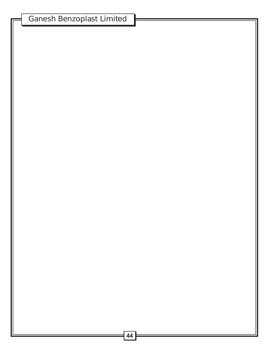| <b>Ganesh Benzoplast Limited</b> |  |
|----------------------------------|--|
|                                  |  |
|                                  |  |
|                                  |  |
|                                  |  |
|                                  |  |
|                                  |  |
|                                  |  |
|                                  |  |
|                                  |  |
|                                  |  |
|                                  |  |
|                                  |  |
|                                  |  |
|                                  |  |
|                                  |  |
|                                  |  |
|                                  |  |
|                                  |  |
|                                  |  |
|                                  |  |
|                                  |  |
|                                  |  |
|                                  |  |
|                                  |  |
|                                  |  |
|                                  |  |
|                                  |  |
| 44                               |  |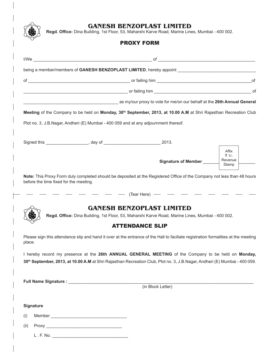

# **GANESH BENZOPLAST LIMITED**

**Regd. Office:** Dina Building, 1st Floor, 53, Maharshi Karve Road, Marine Lines, Mumbai - 400 002.

| <b>PROXY FORM</b> |  |
|-------------------|--|
|-------------------|--|

| I/We                                   |                                                                                     | $\circ$ of $\overline{\phantom{a}}$ . The contract of $\overline{\phantom{a}}$ of $\overline{\phantom{a}}$ and $\overline{\phantom{a}}$ and $\overline{\phantom{a}}$ and $\overline{\phantom{a}}$ and $\overline{\phantom{a}}$ and $\overline{\phantom{a}}$ and $\overline{\phantom{a}}$ and $\overline{\phantom{a}}$ and $\overline{\phantom{a}}$ and $\overline{\phantom{a}}$ and $\overline{\phantom{$ |                                    |
|----------------------------------------|-------------------------------------------------------------------------------------|-----------------------------------------------------------------------------------------------------------------------------------------------------------------------------------------------------------------------------------------------------------------------------------------------------------------------------------------------------------------------------------------------------------|------------------------------------|
|                                        |                                                                                     | being a member/members of GANESH BENZOPLAST LIMITED, hereby appoint _______________________________                                                                                                                                                                                                                                                                                                       |                                    |
|                                        |                                                                                     | of <u>of a set of the set of the set of the set of the set of the set of the set of the set of the set of the set of the set of the set of the set of the set of the set of the set of the set of the set of the set of the set </u>                                                                                                                                                                      |                                    |
|                                        |                                                                                     | or failing him                                                                                                                                                                                                                                                                                                                                                                                            |                                    |
|                                        |                                                                                     | as my/our proxy to vote for me/on our behalf at the 26th Annual General                                                                                                                                                                                                                                                                                                                                   |                                    |
|                                        |                                                                                     | Meeting of the Company to be held on Monday, 30th September, 2013, at 10.00 A.M at Shri Rajasthan Recreation Club                                                                                                                                                                                                                                                                                         |                                    |
|                                        | Plot no. 3, J.B.Nagar, Andheri (E) Mumbai - 400 059 and at any adjournment thereof. |                                                                                                                                                                                                                                                                                                                                                                                                           |                                    |
|                                        |                                                                                     |                                                                                                                                                                                                                                                                                                                                                                                                           |                                    |
|                                        |                                                                                     |                                                                                                                                                                                                                                                                                                                                                                                                           |                                    |
|                                        |                                                                                     | Signature of Member                                                                                                                                                                                                                                                                                                                                                                                       | Affix<br>₹ 1/-<br>Revenue<br>Stamp |
| before the time fixed for the meeting. |                                                                                     | Note: This Proxy Form duly completed should be deposited at the Registered Office of the Company not less than 48 hours<br>$ -$ (Tear Here) $  -$                                                                                                                                                                                                                                                         |                                    |
|                                        |                                                                                     |                                                                                                                                                                                                                                                                                                                                                                                                           |                                    |
|                                        |                                                                                     | <b>GANESH BENZOPLAST LIMITED</b><br>Regd. Office: Dina Building, 1st Floor, 53, Maharshi Karve Road, Marine Lines, Mumbai - 400 002.                                                                                                                                                                                                                                                                      |                                    |
|                                        |                                                                                     | <b>ATTENDANCE SLIP</b>                                                                                                                                                                                                                                                                                                                                                                                    |                                    |
| place.                                 |                                                                                     | Please sign this attendance slip and hand it over at the entrance of the Hall to faciliate registration formalities at the meeting                                                                                                                                                                                                                                                                        |                                    |
|                                        |                                                                                     | I hereby record my presence at the 26th ANNUAL GENERAL MEETING of the Company to be held on Monday,<br>30th September, 2013, at 10.00 A.M at Shri Rajasthan Recreation Club, Plot no. 3, J.B.Nagar, Andheri (E) Mumbai - 400 059.                                                                                                                                                                         |                                    |
|                                        |                                                                                     |                                                                                                                                                                                                                                                                                                                                                                                                           |                                    |
|                                        |                                                                                     | (in Block Letter)                                                                                                                                                                                                                                                                                                                                                                                         |                                    |
|                                        |                                                                                     |                                                                                                                                                                                                                                                                                                                                                                                                           |                                    |
| <b>Signature</b>                       |                                                                                     |                                                                                                                                                                                                                                                                                                                                                                                                           |                                    |
| (i)                                    |                                                                                     |                                                                                                                                                                                                                                                                                                                                                                                                           |                                    |
| (ii)<br>Proxy_                         |                                                                                     |                                                                                                                                                                                                                                                                                                                                                                                                           |                                    |

L . F. No. \_\_\_\_\_\_\_\_\_\_\_\_\_\_\_\_\_\_\_\_\_\_\_\_\_\_\_\_\_\_\_\_